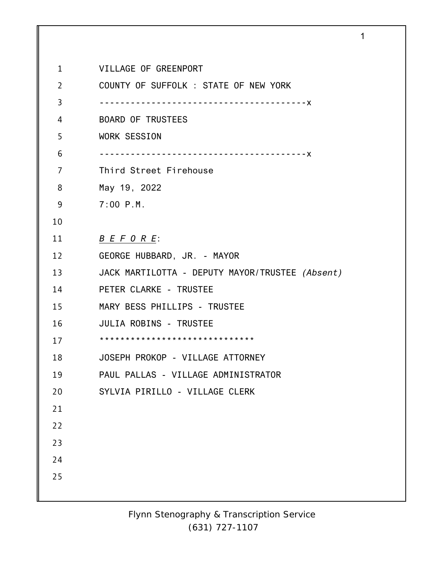| $\mathbf{1}$ | VILLAGE OF GREENPORT                            |
|--------------|-------------------------------------------------|
| 2            | COUNTY OF SUFFOLK : STATE OF NEW YORK           |
| 3            | -----------------------------------X            |
| 4            | <b>BOARD OF TRUSTEES</b>                        |
| 5            | WORK SESSION                                    |
| 6            | -----------------------------------X            |
| 7            | Third Street Firehouse                          |
| 8            | May 19, 2022                                    |
| 9            | $7:00$ P.M.                                     |
| 10           |                                                 |
| 11           | B E F O R E                                     |
| 12           | GEORGE HUBBARD, JR. - MAYOR                     |
| 13           | JACK MARTILOTTA - DEPUTY MAYOR/TRUSTEE (Absent) |
| 14           | PETER CLARKE - TRUSTEE                          |
| 15           | MARY BESS PHILLIPS - TRUSTEE                    |
| 16           | JULIA ROBINS - TRUSTEE                          |
| 17           |                                                 |
| 18           | JOSEPH PROKOP - VILLAGE ATTORNEY                |
| 19           | PAUL PALLAS - VILLAGE ADMINISTRATOR             |
| 20           | SYLVIA PIRILLO - VILLAGE CLERK                  |
| 21           |                                                 |
| 22           |                                                 |
| 23           |                                                 |
| 24           |                                                 |
| 25           |                                                 |
|              |                                                 |

1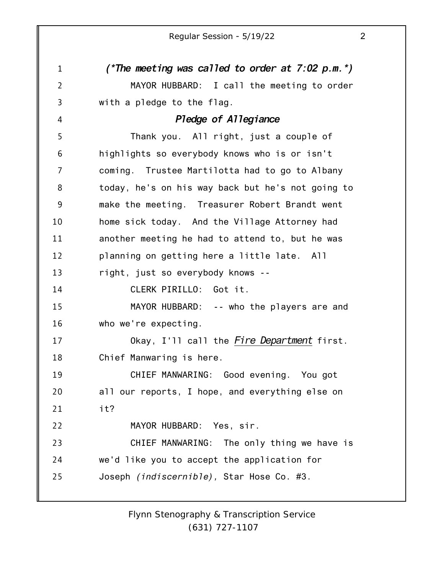1 2 3 4 5 6 7 8 9 10 11 12 13 14 15 16 17 18 19 20 21 22 23 24 25 *(\*The meeting was called to order at 7:02 p.m.\*)* MAYOR HUBBARD: I call the meeting to order with a pledge to the flag. *Pledge of Allegiance* Thank you. All right, just a couple of highlights so everybody knows who is or isn't coming. Trustee Martilotta had to go to Albany today, he's on his way back but he's not going to make the meeting. Treasurer Robert Brandt went home sick today. And the Village Attorney had another meeting he had to attend to, but he was planning on getting here a little late. All right, just so everybody knows -- CLERK PIRILLO: Got it. MAYOR HUBBARD: -- who the players are and who we're expecting. Okay, I'll call the *Fire Department* first. Chief Manwaring is here. CHIEF MANWARING: Good evening. You got all our reports, I hope, and everything else on it? MAYOR HUBBARD: Yes, sir. CHIEF MANWARING: The only thing we have is we'd like you to accept the application for Joseph *(indiscernible),* Star Hose Co. #3.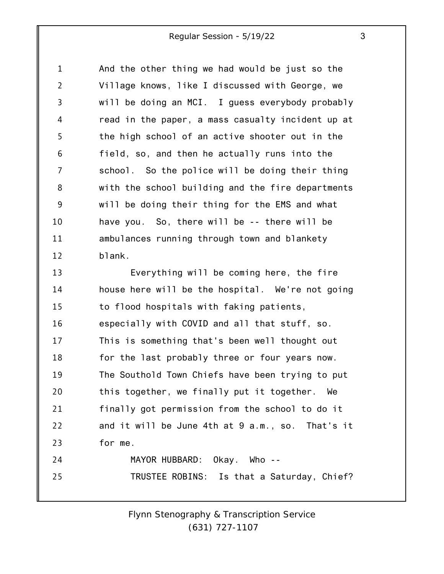1 2 3 4 5 6 7 8 9 10 11 12 And the other thing we had would be just so the Village knows, like I discussed with George, we will be doing an MCI. I guess everybody probably read in the paper, a mass casualty incident up at the high school of an active shooter out in the field, so, and then he actually runs into the school. So the police will be doing their thing with the school building and the fire departments will be doing their thing for the EMS and what have you. So, there will be -- there will be ambulances running through town and blankety blank.

13 14 15 16 17 18 19 20 21 22 23 24 25 Everything will be coming here, the fire house here will be the hospital. We're not going to flood hospitals with faking patients, especially with COVID and all that stuff, so. This is something that's been well thought out for the last probably three or four years now. The Southold Town Chiefs have been trying to put this together, we finally put it together. We finally got permission from the school to do it and it will be June 4th at 9 a.m., so. That's it for me. MAYOR HUBBARD: Okay. Who -- TRUSTEE ROBINS: Is that a Saturday, Chief?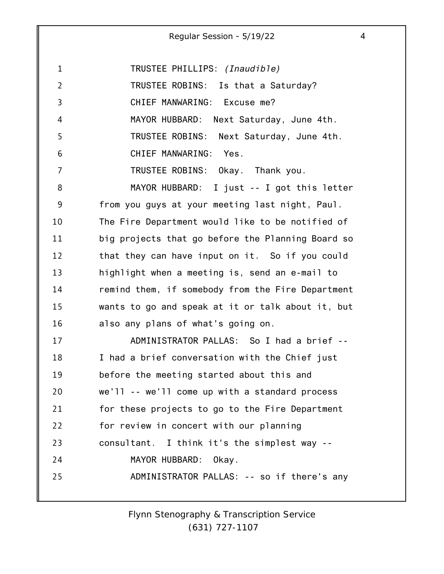1 2 3 4 5 6 7 8 9 10 11 12 13 14 15 16 17 18 19 20 21 22 23 24 25 TRUSTEE PHILLIPS: *(Inaudible)* TRUSTEE ROBINS: Is that a Saturday? CHIEF MANWARING: Excuse me? MAYOR HUBBARD: Next Saturday, June 4th. TRUSTEE ROBINS: Next Saturday, June 4th. CHIEF MANWARING: Yes. TRUSTEE ROBINS: Okay. Thank you. MAYOR HUBBARD: I just -- I got this letter from you guys at your meeting last night, Paul. The Fire Department would like to be notified of big projects that go before the Planning Board so that they can have input on it. So if you could highlight when a meeting is, send an e-mail to remind them, if somebody from the Fire Department wants to go and speak at it or talk about it, but also any plans of what's going on. ADMINISTRATOR PALLAS: So I had a brief -- I had a brief conversation with the Chief just before the meeting started about this and we'll -- we'll come up with a standard process for these projects to go to the Fire Department for review in concert with our planning consultant. I think it's the simplest way -- MAYOR HUBBARD: Okay. ADMINISTRATOR PALLAS: -- so if there's any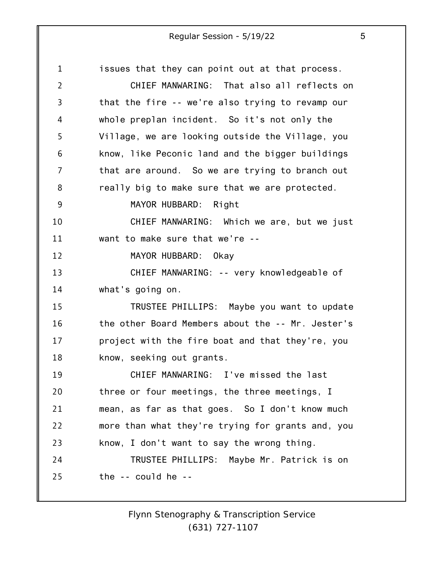1 2 3 4 5 6 7 8 9 10 11 12 13 14 15 16 17 18 19 20 21 22 23 24 25 issues that they can point out at that process. CHIEF MANWARING: That also all reflects on that the fire -- we're also trying to revamp our whole preplan incident. So it's not only the Village, we are looking outside the Village, you know, like Peconic land and the bigger buildings that are around. So we are trying to branch out really big to make sure that we are protected. MAYOR HUBBARD: Right CHIEF MANWARING: Which we are, but we just want to make sure that we're -- MAYOR HUBBARD: Okay CHIEF MANWARING: -- very knowledgeable of what's going on. TRUSTEE PHILLIPS: Maybe you want to update the other Board Members about the -- Mr. Jester's project with the fire boat and that they're, you know, seeking out grants. CHIEF MANWARING: I've missed the last three or four meetings, the three meetings, I mean, as far as that goes. So I don't know much more than what they're trying for grants and, you know, I don't want to say the wrong thing. TRUSTEE PHILLIPS: Maybe Mr. Patrick is on the -- could he --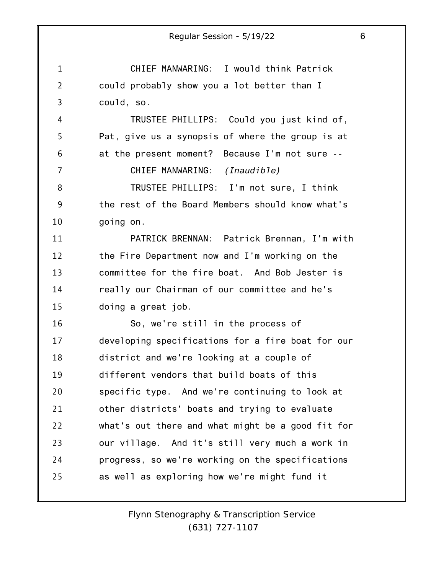1 2 3 4 5 6 7 8 9 10 11 12 13 14 15 16 17 18 19 20 21 22 23 24 25 Regular Session - 5/19/22 6 CHIEF MANWARING: I would think Patrick could probably show you a lot better than I could, so. TRUSTEE PHILLIPS: Could you just kind of, Pat, give us a synopsis of where the group is at at the present moment? Because I'm not sure -- CHIEF MANWARING: *(Inaudible)* TRUSTEE PHILLIPS: I'm not sure, I think the rest of the Board Members should know what's going on. PATRICK BRENNAN: Patrick Brennan, I'm with the Fire Department now and I'm working on the committee for the fire boat. And Bob Jester is really our Chairman of our committee and he's doing a great job. So, we're still in the process of developing specifications for a fire boat for our district and we're looking at a couple of different vendors that build boats of this specific type. And we're continuing to look at other districts' boats and trying to evaluate what's out there and what might be a good fit for our village. And it's still very much a work in progress, so we're working on the specifications as well as exploring how we're might fund it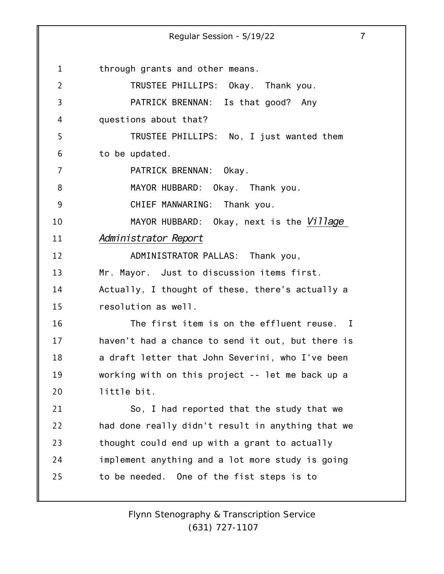1 2 3 4 5 6 7 8 9 10 11 12 13 14 15 16 17 18 19 20 21 22 23 24 25 Regular Session - 5/19/22 7 through grants and other means. TRUSTEE PHILLIPS: Okay. Thank you. PATRICK BRENNAN: Is that good? Any questions about that? TRUSTEE PHILLIPS: No, I just wanted them to be updated. PATRICK BRENNAN: Okay. MAYOR HUBBARD: Okay. Thank you. CHIEF MANWARING: Thank you. MAYOR HUBBARD: Okay, next is the *Village Administrator Report* ADMINISTRATOR PALLAS: Thank you, Mr. Mayor. Just to discussion items first. Actually, I thought of these, there's actually a resolution as well. The first item is on the effluent reuse. I haven't had a chance to send it out, but there is a draft letter that John Severini, who I've been working with on this project -- let me back up a little bit. So, I had reported that the study that we had done really didn't result in anything that we thought could end up with a grant to actually implement anything and a lot more study is going to be needed. One of the fist steps is to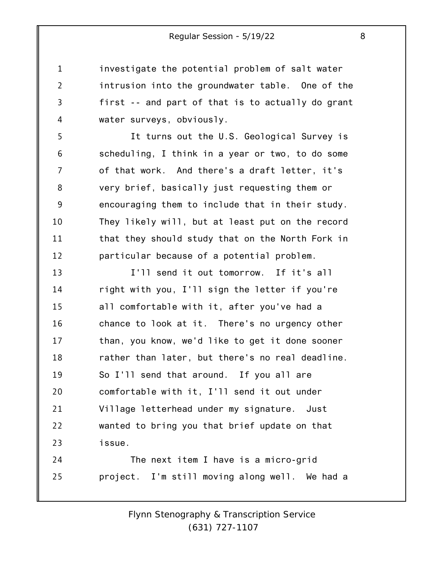investigate the potential problem of salt water intrusion into the groundwater table. One of the first -- and part of that is to actually do grant water surveys, obviously.

1

2

3

4

5 6 7 8 9 10 11 12 It turns out the U.S. Geological Survey is scheduling, I think in a year or two, to do some of that work. And there's a draft letter, it's very brief, basically just requesting them or encouraging them to include that in their study. They likely will, but at least put on the record that they should study that on the North Fork in particular because of a potential problem.

13 14 15 16 17 18 19 20 21 22 23 I'll send it out tomorrow. If it's all right with you, I'll sign the letter if you're all comfortable with it, after you've had a chance to look at it. There's no urgency other than, you know, we'd like to get it done sooner rather than later, but there's no real deadline. So I'll send that around. If you all are comfortable with it, I'll send it out under Village letterhead under my signature. Just wanted to bring you that brief update on that issue.

24 25 The next item I have is a micro-grid project. I'm still moving along well. We had a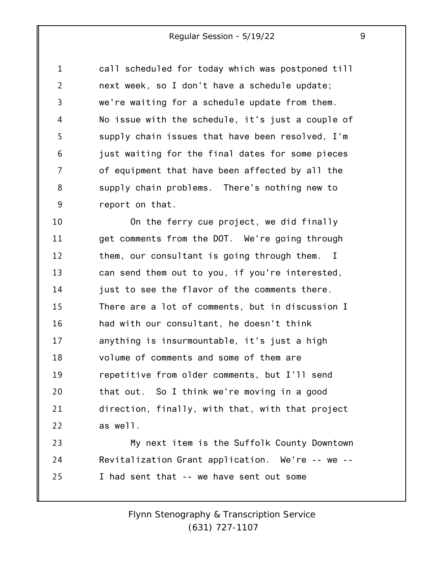1 2 3 4 5 6 7 8 9 call scheduled for today which was postponed till next week, so I don't have a schedule update; we're waiting for a schedule update from them. No issue with the schedule, it's just a couple of supply chain issues that have been resolved, I'm just waiting for the final dates for some pieces of equipment that have been affected by all the supply chain problems. There's nothing new to report on that.

10 11 12 13 14 15 16 17 18 19 20 21 22 On the ferry cue project, we did finally get comments from the DOT. We're going through them, our consultant is going through them. I can send them out to you, if you're interested, just to see the flavor of the comments there. There are a lot of comments, but in discussion I had with our consultant, he doesn't think anything is insurmountable, it's just a high volume of comments and some of them are repetitive from older comments, but I'll send that out. So I think we're moving in a good direction, finally, with that, with that project as well.

23 24 25 My next item is the Suffolk County Downtown Revitalization Grant application. We're -- we -- I had sent that -- we have sent out some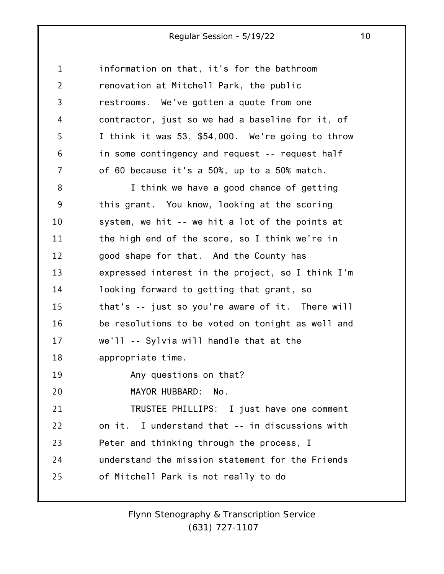1 2 3 4 5 6 7 8 9 10 11 12 13 14 15 16 17 18 19 20 21 22 23 24 25 information on that, it's for the bathroom renovation at Mitchell Park, the public restrooms. We've gotten a quote from one contractor, just so we had a baseline for it, of I think it was 53, \$54,000. We're going to throw in some contingency and request -- request half of 60 because it's a 50%, up to a 50% match. I think we have a good chance of getting this grant. You know, looking at the scoring system, we hit -- we hit a lot of the points at the high end of the score, so I think we're in good shape for that. And the County has expressed interest in the project, so I think I'm looking forward to getting that grant, so that's -- just so you're aware of it. There will be resolutions to be voted on tonight as well and we'll -- Sylvia will handle that at the appropriate time. Any questions on that? MAYOR HUBBARD: No. TRUSTEE PHILLIPS: I just have one comment on it. I understand that -- in discussions with Peter and thinking through the process, I understand the mission statement for the Friends of Mitchell Park is not really to do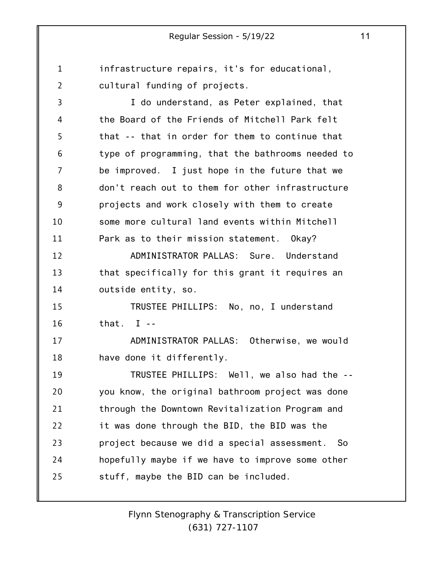1 2 infrastructure repairs, it's for educational, cultural funding of projects.

3 4 5 6 7 8 9 10 11 12 13 14 15 16 17 18 19 20 21 22 23 24 I do understand, as Peter explained, that the Board of the Friends of Mitchell Park felt that -- that in order for them to continue that type of programming, that the bathrooms needed to be improved. I just hope in the future that we don't reach out to them for other infrastructure projects and work closely with them to create some more cultural land events within Mitchell Park as to their mission statement. Okay? ADMINISTRATOR PALLAS: Sure. Understand that specifically for this grant it requires an outside entity, so. TRUSTEE PHILLIPS: No, no, I understand that.  $I -$ ADMINISTRATOR PALLAS: Otherwise, we would have done it differently. TRUSTEE PHILLIPS: Well, we also had the - you know, the original bathroom project was done through the Downtown Revitalization Program and it was done through the BID, the BID was the project because we did a special assessment. So hopefully maybe if we have to improve some other

stuff, maybe the BID can be included.

25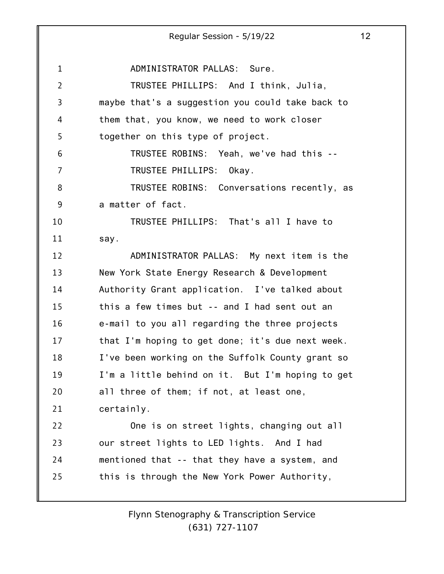1 2 3 4 5 6 7 8 9 10 11 12 13 14 15 16 17 18 19 20 21 22 23 24 25 Regular Session - 5/19/22 12 ADMINISTRATOR PALLAS: Sure. TRUSTEE PHILLIPS: And I think, Julia, maybe that's a suggestion you could take back to them that, you know, we need to work closer together on this type of project. TRUSTEE ROBINS: Yeah, we've had this -- TRUSTEE PHILLIPS: Okay. TRUSTEE ROBINS: Conversations recently, as a matter of fact. TRUSTEE PHILLIPS: That's all I have to say. ADMINISTRATOR PALLAS: My next item is the New York State Energy Research & Development Authority Grant application. I've talked about this a few times but -- and I had sent out an e-mail to you all regarding the three projects that I'm hoping to get done; it's due next week. I've been working on the Suffolk County grant so I'm a little behind on it. But I'm hoping to get all three of them; if not, at least one, certainly. One is on street lights, changing out all our street lights to LED lights. And I had mentioned that -- that they have a system, and this is through the New York Power Authority,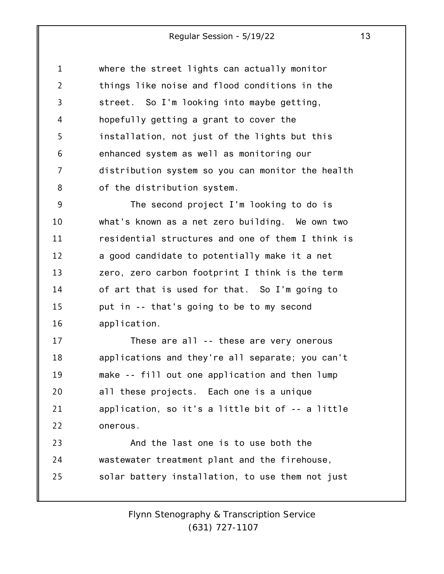1 2 3 4 5 6 7 8 where the street lights can actually monitor things like noise and flood conditions in the street. So I'm looking into maybe getting, hopefully getting a grant to cover the installation, not just of the lights but this enhanced system as well as monitoring our distribution system so you can monitor the health of the distribution system.

9 10 11 12 13 14 15 16 The second project I'm looking to do is what's known as a net zero building. We own two residential structures and one of them I think is a good candidate to potentially make it a net zero, zero carbon footprint I think is the term of art that is used for that. So I'm going to put in -- that's going to be to my second application.

17 18 19 20 21 22 These are all -- these are very onerous applications and they're all separate; you can't make -- fill out one application and then lump all these projects. Each one is a unique application, so it's a little bit of -- a little onerous.

23 24 25 And the last one is to use both the wastewater treatment plant and the firehouse, solar battery installation, to use them not just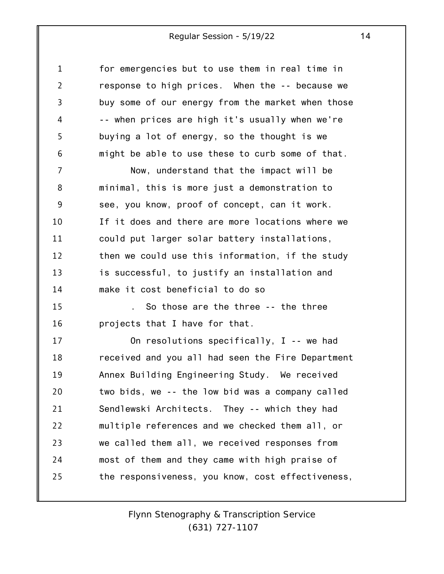| $\mathbf 1$    | for emergencies but to use them in real time in   |
|----------------|---------------------------------------------------|
| $\overline{2}$ | response to high prices. When the -- because we   |
| 3              | buy some of our energy from the market when those |
| 4              | -- when prices are high it's usually when we're   |
| 5              | buying a lot of energy, so the thought is we      |
| 6              | might be able to use these to curb some of that.  |
| 7              | Now, understand that the impact will be           |
| 8              | minimal, this is more just a demonstration to     |
| 9              | see, you know, proof of concept, can it work.     |
| 10             | If it does and there are more locations where we  |
| 11             | could put larger solar battery installations,     |
| 12             | then we could use this information, if the study  |
| 13             | is successful, to justify an installation and     |
| 14             | make it cost beneficial to do so                  |
| 15             | So those are the three -- the three               |
| 16             | projects that I have for that.                    |
| 17             | On resolutions specifically, I -- we had          |
| 18             | received and you all had seen the Fire Department |
| 19             | Annex Building Engineering Study. We received     |
| 20             | two bids, we -- the low bid was a company called  |
| 21             | Sendlewski Architects. They -- which they had     |
| 22             | multiple references and we checked them all, or   |
| 23             | we called them all, we received responses from    |
| 24             | most of them and they came with high praise of    |
| 25             | the responsiveness, you know, cost effectiveness, |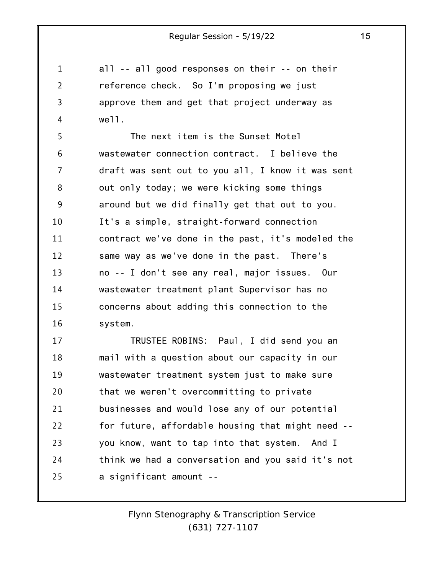1 2 3 4 all -- all good responses on their -- on their reference check. So I'm proposing we just approve them and get that project underway as well.

5 6 7 8 9 10 11 12 13 14 15 16 The next item is the Sunset Motel wastewater connection contract. I believe the draft was sent out to you all, I know it was sent out only today; we were kicking some things around but we did finally get that out to you. It's a simple, straight-forward connection contract we've done in the past, it's modeled the same way as we've done in the past. There's no -- I don't see any real, major issues. Our wastewater treatment plant Supervisor has no concerns about adding this connection to the system.

17 18 19 20 21 22 23 24 25 TRUSTEE ROBINS: Paul, I did send you an mail with a question about our capacity in our wastewater treatment system just to make sure that we weren't overcommitting to private businesses and would lose any of our potential for future, affordable housing that might need - you know, want to tap into that system. And I think we had a conversation and you said it's not a significant amount --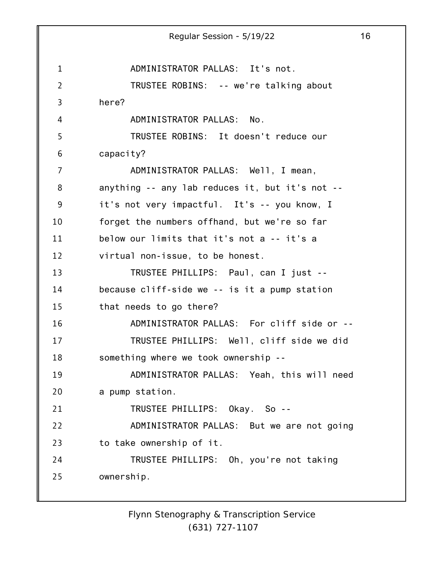1 2 3 4 5 6 7 8 9 10 11 12 13 14 15 16 17 18 19 20 21 22 23 24 25 Regular Session - 5/19/22 16 ADMINISTRATOR PALLAS: It's not. TRUSTEE ROBINS: -- we're talking about here? ADMINISTRATOR PALLAS: No. TRUSTEE ROBINS: It doesn't reduce our capacity? ADMINISTRATOR PALLAS: Well, I mean, anything -- any lab reduces it, but it's not - it's not very impactful. It's -- you know, I forget the numbers offhand, but we're so far below our limits that it's not a -- it's a virtual non-issue, to be honest. TRUSTEE PHILLIPS: Paul, can I just - because cliff-side we -- is it a pump station that needs to go there? ADMINISTRATOR PALLAS: For cliff side or -- TRUSTEE PHILLIPS: Well, cliff side we did something where we took ownership -- ADMINISTRATOR PALLAS: Yeah, this will need a pump station. TRUSTEE PHILLIPS: Okay. So -- ADMINISTRATOR PALLAS: But we are not going to take ownership of it. TRUSTEE PHILLIPS: Oh, you're not taking ownership.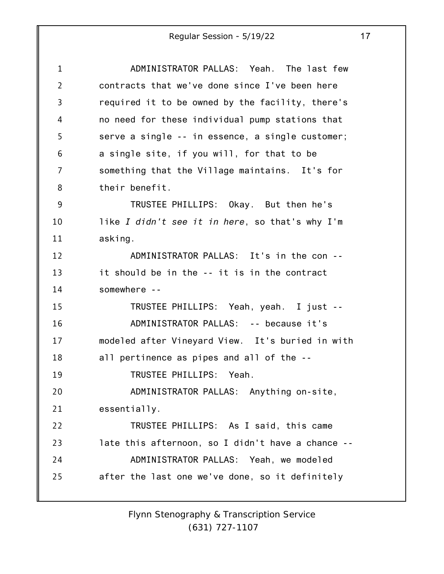| 1              | ADMINISTRATOR PALLAS: Yeah. The last few          |
|----------------|---------------------------------------------------|
| $\overline{2}$ | contracts that we've done since I've been here    |
| 3              | required it to be owned by the facility, there's  |
| 4              | no need for these individual pump stations that   |
| 5              | serve a single -- in essence, a single customer;  |
| 6              | a single site, if you will, for that to be        |
| $\overline{7}$ | something that the Village maintains. It's for    |
| 8              | their benefit.                                    |
| 9              | TRUSTEE PHILLIPS: Okay. But then he's             |
| 10             | like I didn't see it in here, so that's why I'm   |
| 11             | asking.                                           |
| 12             | ADMINISTRATOR PALLAS: It's in the con --          |
| 13             | it should be in the -- it is in the contract      |
| 14             | somewhere --                                      |
| 15             | TRUSTEE PHILLIPS: Yeah, yeah. I just --           |
| 16             | ADMINISTRATOR PALLAS: -- because it's             |
| 17             | modeled after Vineyard View. It's buried in with  |
| 18             | all pertinence as pipes and all of the --         |
| 19             | TRUSTEE PHILLIPS: Yeah.                           |
| 20             | ADMINISTRATOR PALLAS: Anything on-site,           |
| 21             | essentially.                                      |
| 22             | TRUSTEE PHILLIPS: As I said, this came            |
| 23             | late this afternoon, so I didn't have a chance -- |
| 24             | ADMINISTRATOR PALLAS: Yeah, we modeled            |
| 25             | after the last one we've done, so it definitely   |
|                |                                                   |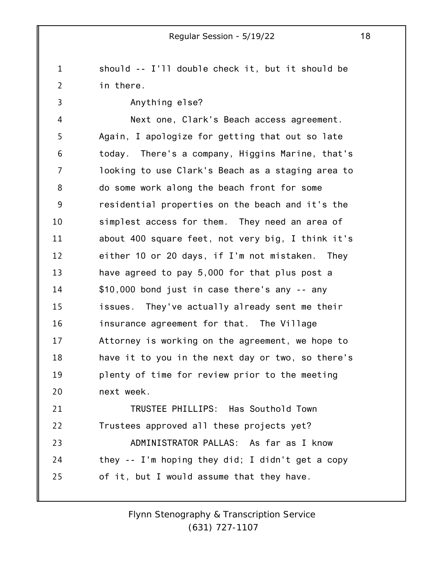1 2 should -- I'll double check it, but it should be in there.

3

Anything else?

4 5 6 7 8 9 10 11 12 13 14 15 16 17 18 19 20 Next one, Clark's Beach access agreement. Again, I apologize for getting that out so late today. There's a company, Higgins Marine, that's looking to use Clark's Beach as a staging area to do some work along the beach front for some residential properties on the beach and it's the simplest access for them. They need an area of about 400 square feet, not very big, I think it's either 10 or 20 days, if I'm not mistaken. They have agreed to pay 5,000 for that plus post a \$10,000 bond just in case there's any -- any issues. They've actually already sent me their insurance agreement for that. The Village Attorney is working on the agreement, we hope to have it to you in the next day or two, so there's plenty of time for review prior to the meeting next week.

21 22 23 24 25 TRUSTEE PHILLIPS: Has Southold Town Trustees approved all these projects yet? ADMINISTRATOR PALLAS: As far as I know they -- I'm hoping they did; I didn't get a copy of it, but I would assume that they have.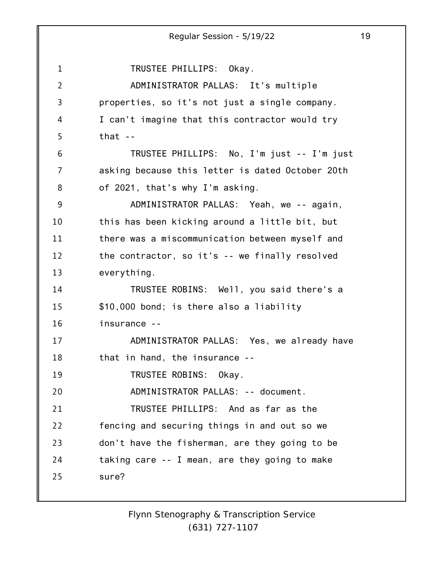1 2 3 4 5 6 7 8 9 10 11 12 13 14 15 16 17 18 19 20 21 22 23 24 25 Regular Session - 5/19/22 19 TRUSTEE PHILLIPS: Okay. ADMINISTRATOR PALLAS: It's multiple properties, so it's not just a single company. I can't imagine that this contractor would try that  $-$ TRUSTEE PHILLIPS: No, I'm just -- I'm just asking because this letter is dated October 20th of 2021, that's why I'm asking. ADMINISTRATOR PALLAS: Yeah, we -- again, this has been kicking around a little bit, but there was a miscommunication between myself and the contractor, so it's -- we finally resolved everything. TRUSTEE ROBINS: Well, you said there's a \$10,000 bond; is there also a liability insurance -- ADMINISTRATOR PALLAS: Yes, we already have that in hand, the insurance -- TRUSTEE ROBINS: Okay. ADMINISTRATOR PALLAS: -- document. TRUSTEE PHILLIPS: And as far as the fencing and securing things in and out so we don't have the fisherman, are they going to be taking care -- I mean, are they going to make sure?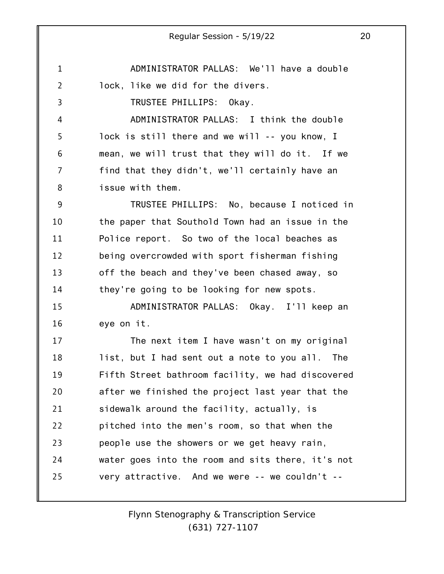Regular Session - 5/19/22 20 ADMINISTRATOR PALLAS: We'll have a double lock, like we did for the divers. TRUSTEE PHILLIPS: Okay. ADMINISTRATOR PALLAS: I think the double lock is still there and we will -- you know, I mean, we will trust that they will do it. If we find that they didn't, we'll certainly have an issue with them. TRUSTEE PHILLIPS: No, because I noticed in the paper that Southold Town had an issue in the Police report. So two of the local beaches as being overcrowded with sport fisherman fishing off the beach and they've been chased away, so they're going to be looking for new spots. ADMINISTRATOR PALLAS: Okay. I'll keep an eye on it. The next item I have wasn't on my original list, but I had sent out a note to you all. The

1

2

3

4

5

6

7

8

9

10

11

12

13

14

15

16

17

18

19 20 21 22 23 24 25 Fifth Street bathroom facility, we had discovered after we finished the project last year that the sidewalk around the facility, actually, is pitched into the men's room, so that when the people use the showers or we get heavy rain, water goes into the room and sits there, it's not very attractive. And we were -- we couldn't --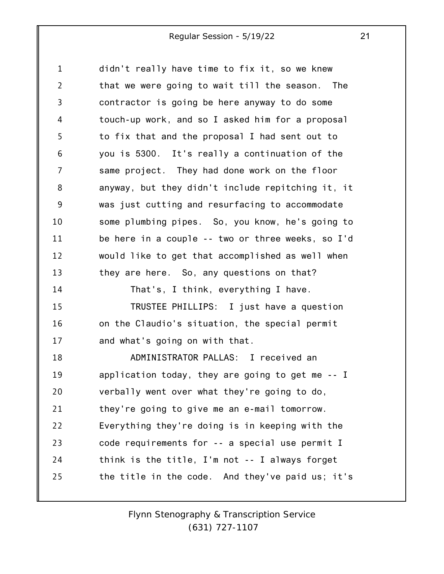1 2 3 4 5 6 7 8 9 10 11 12 13 14 15 16 17 18 19 20 21 22 23 24 25 didn't really have time to fix it, so we knew that we were going to wait till the season. The contractor is going be here anyway to do some touch-up work, and so I asked him for a proposal to fix that and the proposal I had sent out to you is 5300. It's really a continuation of the same project. They had done work on the floor anyway, but they didn't include repitching it, it was just cutting and resurfacing to accommodate some plumbing pipes. So, you know, he's going to be here in a couple -- two or three weeks, so I'd would like to get that accomplished as well when they are here. So, any questions on that? That's, I think, everything I have. TRUSTEE PHILLIPS: I just have a question on the Claudio's situation, the special permit and what's going on with that. ADMINISTRATOR PALLAS: I received an application today, they are going to get me -- I verbally went over what they're going to do, they're going to give me an e-mail tomorrow. Everything they're doing is in keeping with the code requirements for -- a special use permit I think is the title, I'm not -- I always forget the title in the code. And they've paid us; it's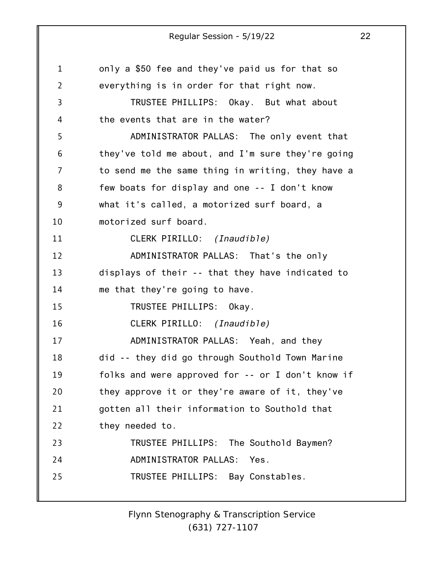1 2 3 4 5 6 7 8 9 10 11 12 13 14 15 16 17 18 19 20 21 22 23 24 25 only a \$50 fee and they've paid us for that so everything is in order for that right now. TRUSTEE PHILLIPS: Okay. But what about the events that are in the water? ADMINISTRATOR PALLAS: The only event that they've told me about, and I'm sure they're going to send me the same thing in writing, they have a few boats for display and one -- I don't know what it's called, a motorized surf board, a motorized surf board. CLERK PIRILLO: *(Inaudible)* ADMINISTRATOR PALLAS: That's the only displays of their -- that they have indicated to me that they're going to have. TRUSTEE PHILLIPS: Okay. CLERK PIRILLO: *(Inaudible)* ADMINISTRATOR PALLAS: Yeah, and they did -- they did go through Southold Town Marine folks and were approved for -- or I don't know if they approve it or they're aware of it, they've gotten all their information to Southold that they needed to. TRUSTEE PHILLIPS: The Southold Baymen? ADMINISTRATOR PALLAS: Yes. TRUSTEE PHILLIPS: Bay Constables.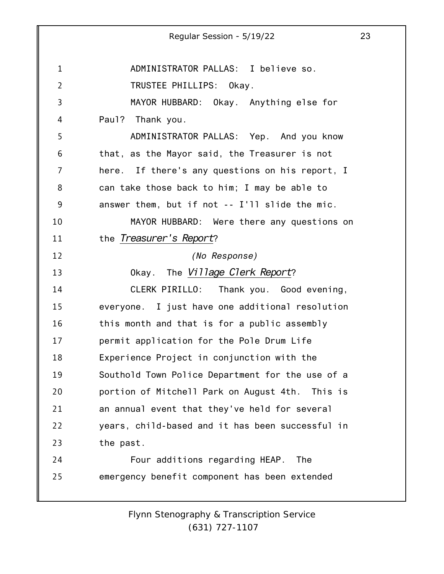1 2 3 4 5 6 7 8 9 10 11 12 13 14 15 16 17 18 19 20 21 22 23 24 25 Regular Session - 5/19/22 23 ADMINISTRATOR PALLAS: I believe so. TRUSTEE PHILLIPS: Okay. MAYOR HUBBARD: Okay. Anything else for Paul? Thank you. ADMINISTRATOR PALLAS: Yep. And you know that, as the Mayor said, the Treasurer is not here. If there's any questions on his report, I can take those back to him; I may be able to answer them, but if not -- I'll slide the mic. MAYOR HUBBARD: Were there any questions on the *Treasurer's Report*? *(No Response)* Okay. The *Village Clerk Report*? CLERK PIRILLO: Thank you. Good evening, everyone. I just have one additional resolution this month and that is for a public assembly permit application for the Pole Drum Life Experience Project in conjunction with the Southold Town Police Department for the use of a portion of Mitchell Park on August 4th. This is an annual event that they've held for several years, child-based and it has been successful in the past. Four additions regarding HEAP. The emergency benefit component has been extended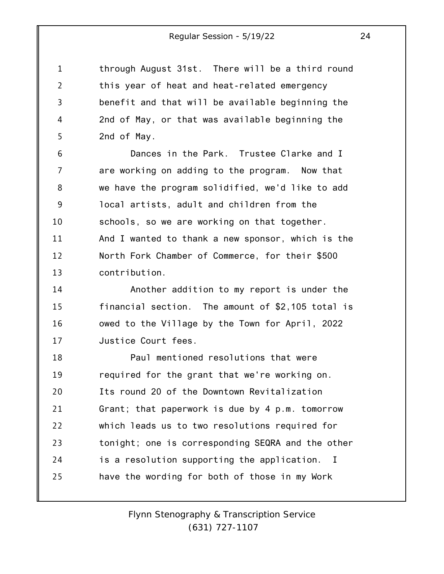1 2 3 4 5 through August 31st. There will be a third round this year of heat and heat-related emergency benefit and that will be available beginning the 2nd of May, or that was available beginning the 2nd of May.

6 7 8 9 10 11 12 13 Dances in the Park. Trustee Clarke and I are working on adding to the program. Now that we have the program solidified, we'd like to add local artists, adult and children from the schools, so we are working on that together. And I wanted to thank a new sponsor, which is the North Fork Chamber of Commerce, for their \$500 contribution.

14 15 16 17 Another addition to my report is under the financial section. The amount of \$2,105 total is owed to the Village by the Town for April, 2022 Justice Court fees.

18 19 20 21 22 23 24 25 Paul mentioned resolutions that were required for the grant that we're working on. Its round 20 of the Downtown Revitalization Grant; that paperwork is due by 4 p.m. tomorrow which leads us to two resolutions required for tonight; one is corresponding SEQRA and the other is a resolution supporting the application. I have the wording for both of those in my Work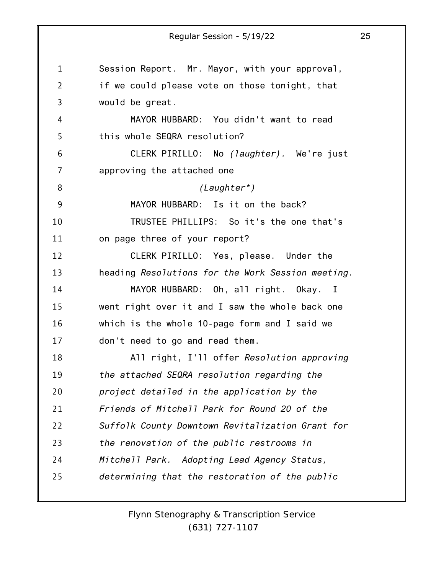1 2 3 4 5 6 7 8 9 10 11 12 13 14 15 16 17 18 19 20 21 22 23 24 25 Regular Session - 5/19/22 25 Session Report. Mr. Mayor, with your approval, if we could please vote on those tonight, that would be great. MAYOR HUBBARD: You didn't want to read this whole SEQRA resolution? CLERK PIRILLO: No *(laughter).* We're just approving the attached one *(Laughter\*)* MAYOR HUBBARD: Is it on the back? TRUSTEE PHILLIPS: So it's the one that's on page three of your report? CLERK PIRILLO: Yes, please. Under the heading *Resolutions for the Work Session meeting*. MAYOR HUBBARD: Oh, all right. Okay. I went right over it and I saw the whole back one which is the whole 10-page form and I said we don't need to go and read them. All right, I'll offer *Resolution approving the attached SEQRA resolution regarding the project detailed in the application by the Friends of Mitchell Park for Round 20 of the Suffolk County Downtown Revitalization Grant for the renovation of the public restrooms in Mitchell Park. Adopting Lead Agency Status, determining that the restoration of the public*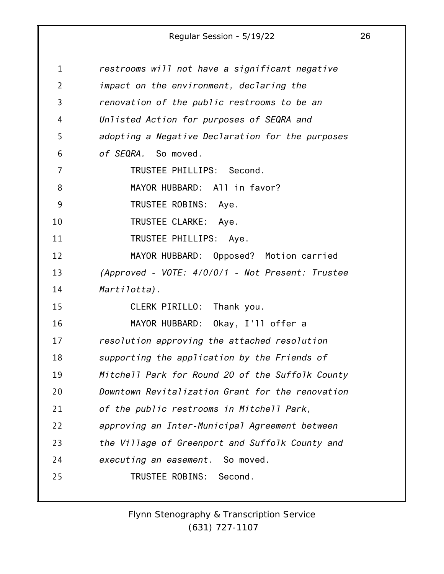| 1              | restrooms will not have a significant negative   |
|----------------|--------------------------------------------------|
| $\overline{2}$ | impact on the environment, declaring the         |
| 3              | renovation of the public restrooms to be an      |
| 4              | Unlisted Action for purposes of SEQRA and        |
| 5              | adopting a Negative Declaration for the purposes |
| 6              | of SEQRA. So moved.                              |
| 7              | TRUSTEE PHILLIPS: Second.                        |
| 8              | MAYOR HUBBARD: All in favor?                     |
| 9              | TRUSTEE ROBINS: Aye.                             |
| 10             | TRUSTEE CLARKE: Aye.                             |
| 11             | TRUSTEE PHILLIPS: Aye.                           |
| 12             | MAYOR HUBBARD: Opposed? Motion carried           |
| 13             | (Approved - VOTE: 4/0/0/1 - Not Present: Trustee |
| 14             | Martilotta).                                     |
| 15             | CLERK PIRILLO: Thank you.                        |
| 16             | MAYOR HUBBARD: Okay, I'll offer a                |
| 17             | resolution approving the attached resolution     |
| 18             | supporting the application by the Friends of     |
| 19             | Mitchell Park for Round 20 of the Suffolk County |
| 20             | Downtown Revitalization Grant for the renovation |
| 21             | of the public restrooms in Mitchell Park,        |
| 22             | approving an Inter-Municipal Agreement between   |
| 23             | the Village of Greenport and Suffolk County and  |
| 24             | executing an easement. So moved.                 |
| 25             | TRUSTEE ROBINS: Second.                          |
|                |                                                  |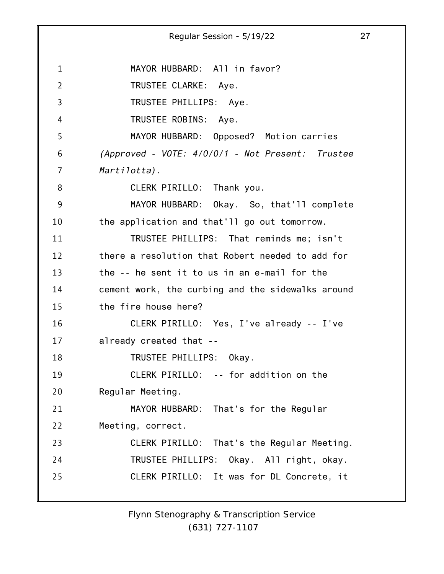1 2 3 4 5 6 7 8 9 10 11 12 13 14 15 16 17 18 19 20 21 22 23 24 25 Regular Session - 5/19/22 27 MAYOR HUBBARD: All in favor? TRUSTEE CLARKE: Aye. TRUSTEE PHILLIPS: Aye. TRUSTEE ROBINS: Aye. MAYOR HUBBARD: Opposed? Motion carries *(Approved - VOTE: 4/0/0/1 - Not Present: Trustee Martilotta).* CLERK PIRILLO: Thank you. MAYOR HUBBARD: Okay. So, that'll complete the application and that'll go out tomorrow. TRUSTEE PHILLIPS: That reminds me; isn't there a resolution that Robert needed to add for the -- he sent it to us in an e-mail for the cement work, the curbing and the sidewalks around the fire house here? CLERK PIRILLO: Yes, I've already -- I've already created that -- TRUSTEE PHILLIPS: Okay. CLERK PIRILLO: -- for addition on the Regular Meeting. MAYOR HUBBARD: That's for the Regular Meeting, correct. CLERK PIRILLO: That's the Regular Meeting. TRUSTEE PHILLIPS: Okay. All right, okay. CLERK PIRILLO: It was for DL Concrete, it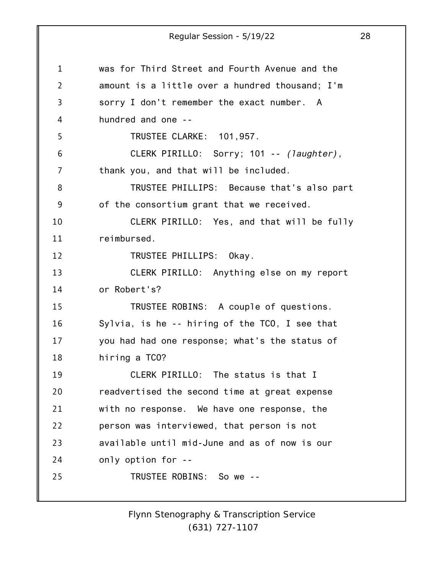1 2 3 4 5 6 7 8 9 10 11 12 13 14 15 16 17 18 19 20 21 22 23 24 25 Regular Session - 5/19/22 28 was for Third Street and Fourth Avenue and the amount is a little over a hundred thousand; I'm sorry I don't remember the exact number. A hundred and one -- TRUSTEE CLARKE: 101,957. CLERK PIRILLO: Sorry; 101 -- *(laughter),* thank you, and that will be included. TRUSTEE PHILLIPS: Because that's also part of the consortium grant that we received. CLERK PIRILLO: Yes, and that will be fully reimbursed. TRUSTEE PHILLIPS: Okay. CLERK PIRILLO: Anything else on my report or Robert's? TRUSTEE ROBINS: A couple of questions. Sylvia, is he -- hiring of the TCO, I see that you had had one response; what's the status of hiring a TCO? CLERK PIRILLO: The status is that I readvertised the second time at great expense with no response. We have one response, the person was interviewed, that person is not available until mid-June and as of now is our only option for -- TRUSTEE ROBINS: So we --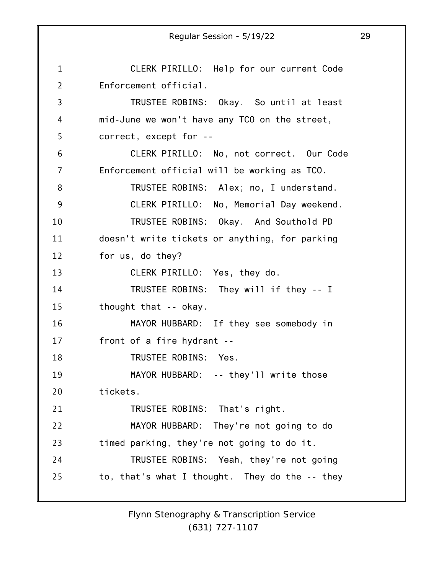1 2 3 4 5 6 7 8 9 10 11 12 13 14 15 16 17 18 19 20 21 22 23 24 25 Regular Session - 5/19/22 29 CLERK PIRILLO: Help for our current Code Enforcement official. TRUSTEE ROBINS: Okay. So until at least mid-June we won't have any TCO on the street, correct, except for -- CLERK PIRILLO: No, not correct. Our Code Enforcement official will be working as TCO. TRUSTEE ROBINS: Alex; no, I understand. CLERK PIRILLO: No, Memorial Day weekend. TRUSTEE ROBINS: Okay. And Southold PD doesn't write tickets or anything, for parking for us, do they? CLERK PIRILLO: Yes, they do. TRUSTEE ROBINS: They will if they -- I thought that -- okay. MAYOR HUBBARD: If they see somebody in front of a fire hydrant -- TRUSTEE ROBINS: Yes. MAYOR HUBBARD: -- they'll write those tickets. TRUSTEE ROBINS: That's right. MAYOR HUBBARD: They're not going to do timed parking, they're not going to do it. TRUSTEE ROBINS: Yeah, they're not going to, that's what I thought. They do the -- they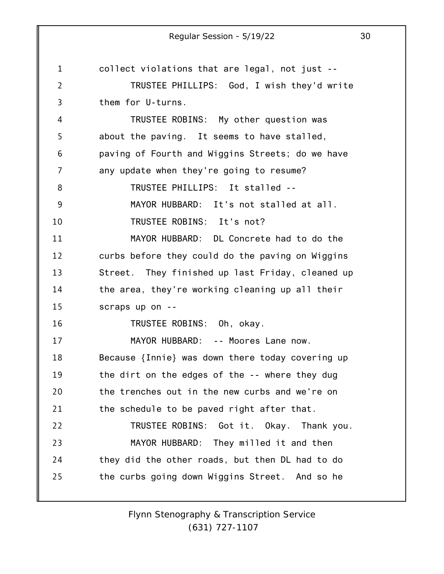1 2 3 4 5 6 7 8 9 10 11 12 13 14 15 16 17 18 19 20 21 22 23 24 25 Regular Session - 5/19/22 30 collect violations that are legal, not just -- TRUSTEE PHILLIPS: God, I wish they'd write them for U-turns. TRUSTEE ROBINS: My other question was about the paving. It seems to have stalled, paving of Fourth and Wiggins Streets; do we have any update when they're going to resume? TRUSTEE PHILLIPS: It stalled -- MAYOR HUBBARD: It's not stalled at all. TRUSTEE ROBINS: It's not? MAYOR HUBBARD: DL Concrete had to do the curbs before they could do the paving on Wiggins Street. They finished up last Friday, cleaned up the area, they're working cleaning up all their scraps up on -- TRUSTEE ROBINS: Oh, okay. MAYOR HUBBARD: -- Moores Lane now. Because {Innie} was down there today covering up the dirt on the edges of the -- where they dug the trenches out in the new curbs and we're on the schedule to be paved right after that. TRUSTEE ROBINS: Got it. Okay. Thank you. MAYOR HUBBARD: They milled it and then they did the other roads, but then DL had to do the curbs going down Wiggins Street. And so he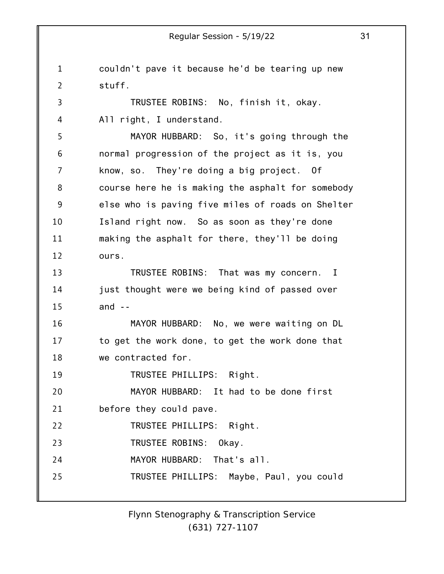1 2 3 4 5 6 7 8 9 10 11 12 13 14 15 16 17 18 19 20 21 22 23 24 25 Regular Session - 5/19/22 31 couldn't pave it because he'd be tearing up new stuff. TRUSTEE ROBINS: No, finish it, okay. All right, I understand. MAYOR HUBBARD: So, it's going through the normal progression of the project as it is, you know, so. They're doing a big project. Of course here he is making the asphalt for somebody else who is paving five miles of roads on Shelter Island right now. So as soon as they're done making the asphalt for there, they'll be doing ours. TRUSTEE ROBINS: That was my concern. I just thought were we being kind of passed over and  $-$ MAYOR HUBBARD: No, we were waiting on DL to get the work done, to get the work done that we contracted for. TRUSTEE PHILLIPS: Right. MAYOR HUBBARD: It had to be done first before they could pave. TRUSTEE PHILLIPS: Right. TRUSTEE ROBINS: Okay. MAYOR HUBBARD: That's all. TRUSTEE PHILLIPS: Maybe, Paul, you could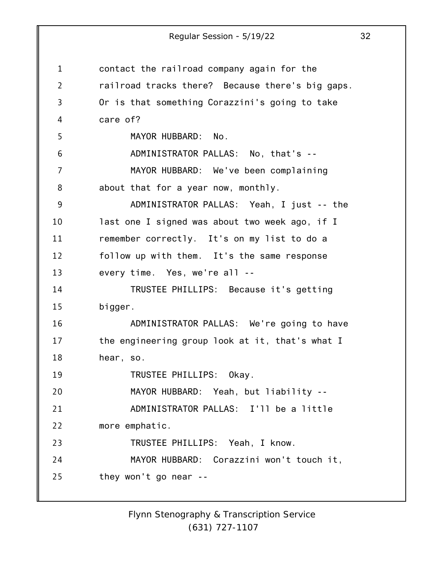1 2 3 4 5 6 7 8 9 10 11 12 13 14 15 16 17 18 19 20 21 22 23 24 25 Regular Session - 5/19/22 32 contact the railroad company again for the railroad tracks there? Because there's big gaps. Or is that something Corazzini's going to take care of? MAYOR HUBBARD: No. ADMINISTRATOR PALLAS: No, that's -- MAYOR HUBBARD: We've been complaining about that for a year now, monthly. ADMINISTRATOR PALLAS: Yeah, I just -- the last one I signed was about two week ago, if I remember correctly. It's on my list to do a follow up with them. It's the same response every time. Yes, we're all -- TRUSTEE PHILLIPS: Because it's getting bigger. ADMINISTRATOR PALLAS: We're going to have the engineering group look at it, that's what I hear, so. TRUSTEE PHILLIPS: Okay. MAYOR HUBBARD: Yeah, but liability -- ADMINISTRATOR PALLAS: I'll be a little more emphatic. TRUSTEE PHILLIPS: Yeah, I know. MAYOR HUBBARD: Corazzini won't touch it, they won't go near --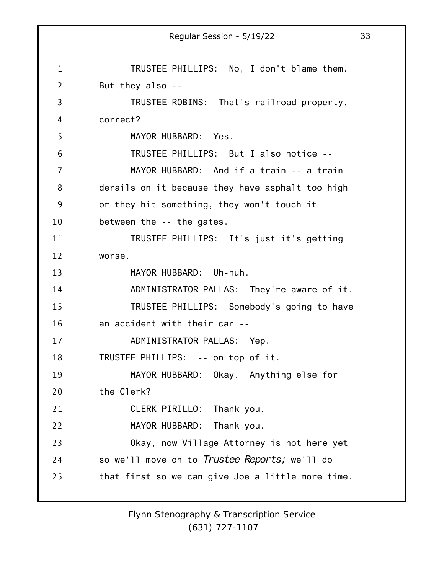1 2 3 4 5 6 7 8 9 10 11 12 13 14 15 16 17 18 19 20 21 22 23 24 25 Regular Session - 5/19/22 33 TRUSTEE PHILLIPS: No, I don't blame them. But they also -- TRUSTEE ROBINS: That's railroad property, correct? MAYOR HUBBARD: Yes. TRUSTEE PHILLIPS: But I also notice -- MAYOR HUBBARD: And if a train -- a train derails on it because they have asphalt too high or they hit something, they won't touch it between the -- the gates. TRUSTEE PHILLIPS: It's just it's getting worse. MAYOR HUBBARD: Uh-huh. ADMINISTRATOR PALLAS: They're aware of it. TRUSTEE PHILLIPS: Somebody's going to have an accident with their car -- ADMINISTRATOR PALLAS: Yep. TRUSTEE PHILLIPS: -- on top of it. MAYOR HUBBARD: Okay. Anything else for the Clerk? CLERK PIRILLO: Thank you. MAYOR HUBBARD: Thank you. Okay, now Village Attorney is not here yet so we'll move on to *Trustee Reports;* we'll do that first so we can give Joe a little more time.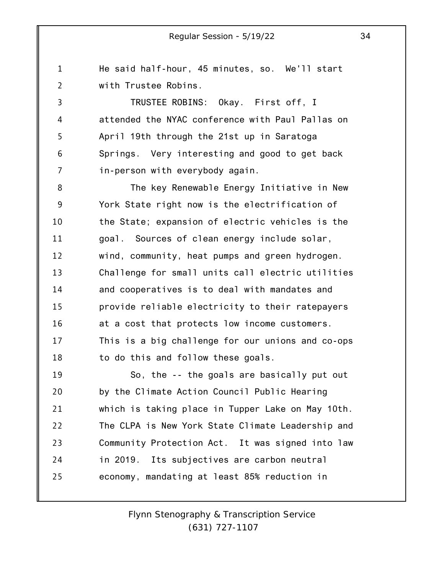He said half-hour, 45 minutes, so. We'll start with Trustee Robins.

1

2

3 4 5 6 7 TRUSTEE ROBINS: Okay. First off, I attended the NYAC conference with Paul Pallas on April 19th through the 21st up in Saratoga Springs. Very interesting and good to get back in-person with everybody again.

8 9 10 11 12 13 14 15 16 17 18 The key Renewable Energy Initiative in New York State right now is the electrification of the State; expansion of electric vehicles is the goal. Sources of clean energy include solar, wind, community, heat pumps and green hydrogen. Challenge for small units call electric utilities and cooperatives is to deal with mandates and provide reliable electricity to their ratepayers at a cost that protects low income customers. This is a big challenge for our unions and co-ops to do this and follow these goals.

19 20 21 22 23 24 25 So, the -- the goals are basically put out by the Climate Action Council Public Hearing which is taking place in Tupper Lake on May 10th. The CLPA is New York State Climate Leadership and Community Protection Act. It was signed into law in 2019. Its subjectives are carbon neutral economy, mandating at least 85% reduction in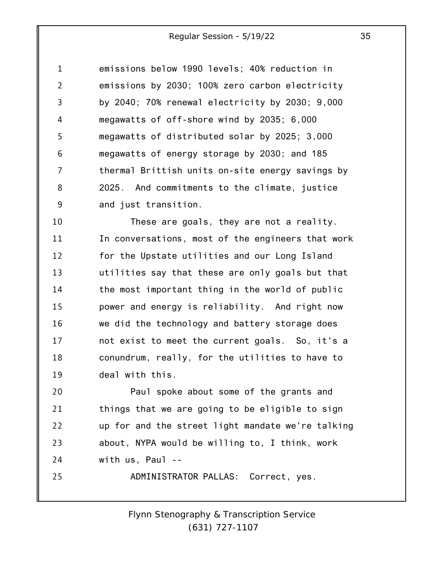| $\mathbf{1}$   | emissions below 1990 levels; 40% reduction in    |
|----------------|--------------------------------------------------|
| $\overline{2}$ | emissions by 2030; 100% zero carbon electricity  |
| 3              | by 2040; 70% renewal electricity by 2030; 9,000  |
| 4              | megawatts of off-shore wind by 2035; 6,000       |
| 5              | megawatts of distributed solar by 2025; 3,000    |
| 6              | megawatts of energy storage by 2030; and 185     |
| 7              | thermal Brittish units on-site energy savings by |
| 8              | 2025. And commitments to the climate, justice    |
| 9              | and just transition.                             |

10 11 12 13 14 15 16 17 18 19 These are goals, they are not a reality. In conversations, most of the engineers that work for the Upstate utilities and our Long Island utilities say that these are only goals but that the most important thing in the world of public power and energy is reliability. And right now we did the technology and battery storage does not exist to meet the current goals. So, it's a conundrum, really, for the utilities to have to deal with this.

20 21 22 23 24 Paul spoke about some of the grants and things that we are going to be eligible to sign up for and the street light mandate we're talking about, NYPA would be willing to, I think, work with us, Paul --

ADMINISTRATOR PALLAS: Correct, yes.

25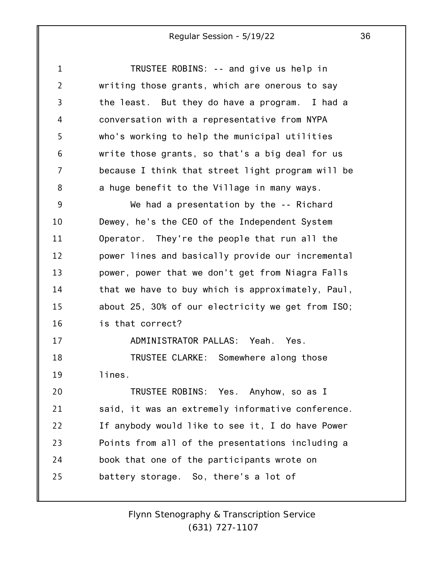1 2 3 4 5 6 7 8 9 10 11 12 13 14 15 16 17 18 19 20 21 22 23 24 25 TRUSTEE ROBINS: -- and give us help in writing those grants, which are onerous to say the least. But they do have a program. I had a conversation with a representative from NYPA who's working to help the municipal utilities write those grants, so that's a big deal for us because I think that street light program will be a huge benefit to the Village in many ways. We had a presentation by the -- Richard Dewey, he's the CEO of the Independent System Operator. They're the people that run all the power lines and basically provide our incremental power, power that we don't get from Niagra Falls that we have to buy which is approximately, Paul, about 25, 30% of our electricity we get from ISO; is that correct? ADMINISTRATOR PALLAS: Yeah. Yes. TRUSTEE CLARKE: Somewhere along those lines. TRUSTEE ROBINS: Yes. Anyhow, so as I said, it was an extremely informative conference. If anybody would like to see it, I do have Power Points from all of the presentations including a book that one of the participants wrote on battery storage. So, there's a lot of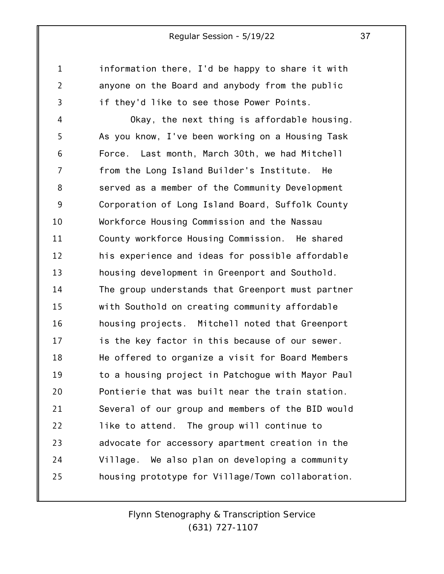1

2

3

information there, I'd be happy to share it with anyone on the Board and anybody from the public if they'd like to see those Power Points.

4 5 6 7 8 9 10 11 12 13 14 15 16 17 18 19 20 21 22 23 24 25 Okay, the next thing is affordable housing. As you know, I've been working on a Housing Task Force. Last month, March 30th, we had Mitchell from the Long Island Builder's Institute. He served as a member of the Community Development Corporation of Long Island Board, Suffolk County Workforce Housing Commission and the Nassau County workforce Housing Commission. He shared his experience and ideas for possible affordable housing development in Greenport and Southold. The group understands that Greenport must partner with Southold on creating community affordable housing projects. Mitchell noted that Greenport is the key factor in this because of our sewer. He offered to organize a visit for Board Members to a housing project in Patchogue with Mayor Paul Pontierie that was built near the train station. Several of our group and members of the BID would like to attend. The group will continue to advocate for accessory apartment creation in the Village. We also plan on developing a community housing prototype for Village/Town collaboration.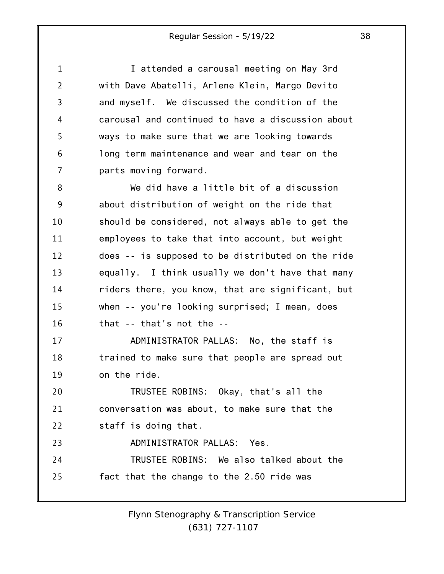| $\mathbf{1}$   | I attended a carousal meeting on May 3rd          |
|----------------|---------------------------------------------------|
| $\overline{2}$ | with Dave Abatelli, Arlene Klein, Margo Devito    |
| 3              | and myself. We discussed the condition of the     |
| 4              | carousal and continued to have a discussion about |
| 5              | ways to make sure that we are looking towards     |
| 6              | long term maintenance and wear and tear on the    |
| 7              | parts moving forward.                             |
| 8              | We did have a little bit of a discussion          |
| 9              | about distribution of weight on the ride that     |
| 10             | should be considered, not always able to get the  |
| 11             | employees to take that into account, but weight   |
| 12             | does -- is supposed to be distributed on the ride |
| 13             | equally. I think usually we don't have that many  |
| 14             | riders there, you know, that are significant, but |
| 15             | when -- you're looking surprised; I mean, does    |
| 16             | that $-$ that's not the $-$                       |
| 17             | ADMINISTRATOR PALLAS: No, the staff is            |
| 18             | trained to make sure that people are spread out   |
| 19             | on the ride.                                      |
| 20             | TRUSTEE ROBINS: Okay, that's all the              |
| 21             | conversation was about, to make sure that the     |
| 22             | staff is doing that.                              |
| 23             | ADMINISTRATOR PALLAS: Yes.                        |
| 24             | TRUSTEE ROBINS: We also talked about the          |
| 25             | fact that the change to the 2.50 ride was         |
|                |                                                   |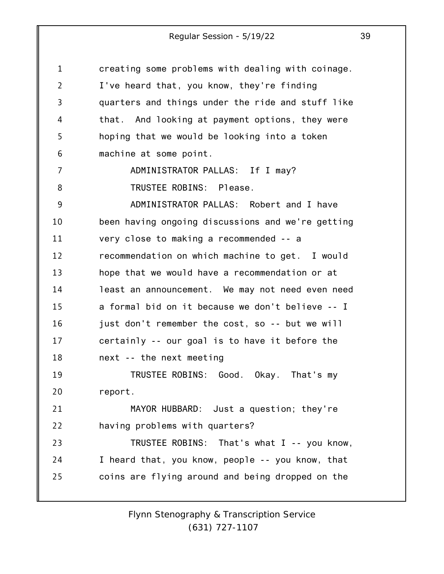| 1  | creating some problems with dealing with coinage. |
|----|---------------------------------------------------|
| 2  | I've heard that, you know, they're finding        |
| 3  | quarters and things under the ride and stuff like |
| 4  | that. And looking at payment options, they were   |
| 5  | hoping that we would be looking into a token      |
| 6  | machine at some point.                            |
| 7  | ADMINISTRATOR PALLAS: If I may?                   |
| 8  | TRUSTEE ROBINS: Please.                           |
| 9  | ADMINISTRATOR PALLAS: Robert and I have           |
| 10 | been having ongoing discussions and we're getting |
| 11 | very close to making a recommended -- a           |
| 12 | recommendation on which machine to get. I would   |
| 13 | hope that we would have a recommendation or at    |
| 14 | least an announcement. We may not need even need  |
| 15 | a formal bid on it because we don't believe -- I  |
| 16 | just don't remember the cost, so -- but we will   |
| 17 | certainly -- our goal is to have it before the    |
| 18 | next -- the next meeting                          |
| 19 | TRUSTEE ROBINS: Good. Okay. That's my             |
| 20 | report.                                           |
| 21 | MAYOR HUBBARD: Just a question; they're           |
| 22 | having problems with quarters?                    |
| 23 | TRUSTEE ROBINS: That's what I -- you know,        |
| 24 | I heard that, you know, people -- you know, that  |
| 25 | coins are flying around and being dropped on the  |
|    |                                                   |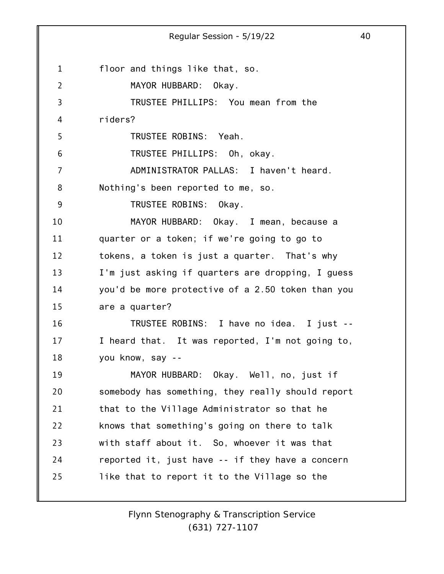1 2 3 4 5 6 7 8 9 10 11 12 13 14 15 16 17 18 19 20 21 22 23 24 25 Regular Session - 5/19/22 40 floor and things like that, so. MAYOR HUBBARD: Okay. TRUSTEE PHILLIPS: You mean from the riders? TRUSTEE ROBINS: Yeah. TRUSTEE PHILLIPS: Oh, okay. ADMINISTRATOR PALLAS: I haven't heard. Nothing's been reported to me, so. TRUSTEE ROBINS: Okay. MAYOR HUBBARD: Okay. I mean, because a quarter or a token; if we're going to go to tokens, a token is just a quarter. That's why I'm just asking if quarters are dropping, I guess you'd be more protective of a 2.50 token than you are a quarter? TRUSTEE ROBINS: I have no idea. I just -- I heard that. It was reported, I'm not going to, you know, say -- MAYOR HUBBARD: Okay. Well, no, just if somebody has something, they really should report that to the Village Administrator so that he knows that something's going on there to talk with staff about it. So, whoever it was that reported it, just have -- if they have a concern like that to report it to the Village so the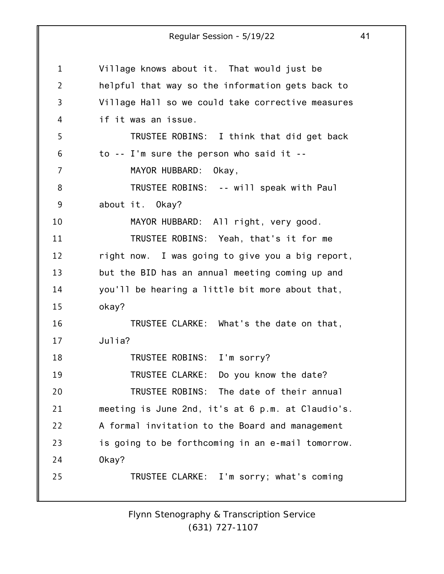1 2 3 4 5 6 7 8 9 10 11 12 13 14 15 16 17 18 19 20 21 22 23 24 25 Regular Session - 5/19/22 41 Village knows about it. That would just be helpful that way so the information gets back to Village Hall so we could take corrective measures if it was an issue. TRUSTEE ROBINS: I think that did get back to -- I'm sure the person who said it -- MAYOR HUBBARD: Okay, TRUSTEE ROBINS: -- will speak with Paul about it. Okay? MAYOR HUBBARD: All right, very good. TRUSTEE ROBINS: Yeah, that's it for me right now. I was going to give you a big report, but the BID has an annual meeting coming up and you'll be hearing a little bit more about that, okay? TRUSTEE CLARKE: What's the date on that, Julia? TRUSTEE ROBINS: I'm sorry? TRUSTEE CLARKE: Do you know the date? TRUSTEE ROBINS: The date of their annual meeting is June 2nd, it's at 6 p.m. at Claudio's. A formal invitation to the Board and management is going to be forthcoming in an e-mail tomorrow. Okay? TRUSTEE CLARKE: I'm sorry; what's coming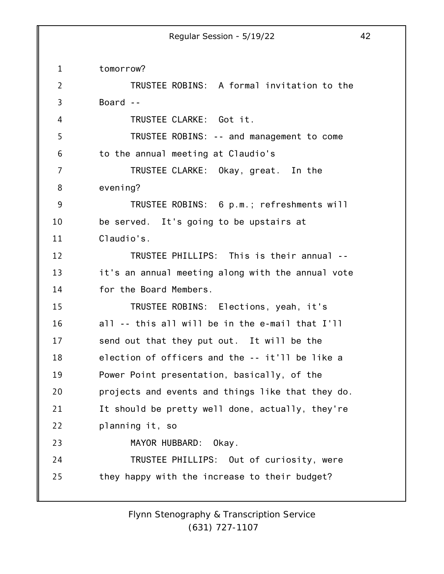1 2 3 4 5 6 7 8 9 10 11 12 13 14 15 16 17 18 19 20 21 22 23 24 25 tomorrow? TRUSTEE ROBINS: A formal invitation to the Board -- TRUSTEE CLARKE: Got it. TRUSTEE ROBINS: -- and management to come to the annual meeting at Claudio's TRUSTEE CLARKE: Okay, great. In the evening? TRUSTEE ROBINS: 6 p.m.; refreshments will be served. It's going to be upstairs at Claudio's. TRUSTEE PHILLIPS: This is their annual - it's an annual meeting along with the annual vote for the Board Members. TRUSTEE ROBINS: Elections, yeah, it's all -- this all will be in the e-mail that I'll send out that they put out. It will be the election of officers and the -- it'll be like a Power Point presentation, basically, of the projects and events and things like that they do. It should be pretty well done, actually, they're planning it, so MAYOR HUBBARD: Okay. TRUSTEE PHILLIPS: Out of curiosity, were they happy with the increase to their budget?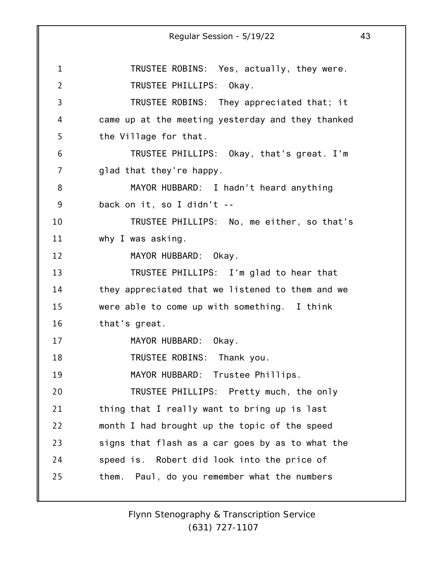1 2 3 4 5 6 7 8 9 10 11 12 13 14 15 16 17 18 19 20 21 22 23 24 25 Regular Session - 5/19/22 43 TRUSTEE ROBINS: Yes, actually, they were. TRUSTEE PHILLIPS: Okay. TRUSTEE ROBINS: They appreciated that; it came up at the meeting yesterday and they thanked the Village for that. TRUSTEE PHILLIPS: Okay, that's great. I'm glad that they're happy. MAYOR HUBBARD: I hadn't heard anything back on it, so I didn't -- TRUSTEE PHILLIPS: No, me either, so that's why I was asking. MAYOR HUBBARD: Okay. TRUSTEE PHILLIPS: I'm glad to hear that they appreciated that we listened to them and we were able to come up with something. I think that's great. MAYOR HUBBARD: Okay. TRUSTEE ROBINS: Thank you. MAYOR HUBBARD: Trustee Phillips. TRUSTEE PHILLIPS: Pretty much, the only thing that I really want to bring up is last month I had brought up the topic of the speed signs that flash as a car goes by as to what the speed is. Robert did look into the price of them. Paul, do you remember what the numbers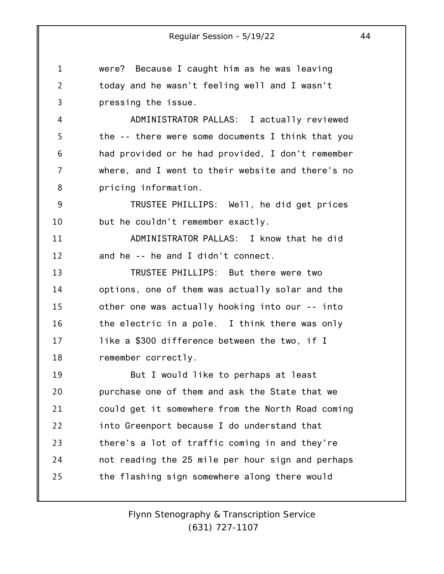1 2 3 were? Because I caught him as he was leaving today and he wasn't feeling well and I wasn't pressing the issue.

4 5 6 7 8 ADMINISTRATOR PALLAS: I actually reviewed the -- there were some documents I think that you had provided or he had provided, I don't remember where, and I went to their website and there's no pricing information.

9 10 TRUSTEE PHILLIPS: Well, he did get prices but he couldn't remember exactly.

11 12 ADMINISTRATOR PALLAS: I know that he did and he -- he and I didn't connect.

13 14 15 16 17 18 TRUSTEE PHILLIPS: But there were two options, one of them was actually solar and the other one was actually hooking into our -- into the electric in a pole. I think there was only like a \$300 difference between the two, if I remember correctly.

19 20 21 22 23 24 25 But I would like to perhaps at least purchase one of them and ask the State that we could get it somewhere from the North Road coming into Greenport because I do understand that there's a lot of traffic coming in and they're not reading the 25 mile per hour sign and perhaps the flashing sign somewhere along there would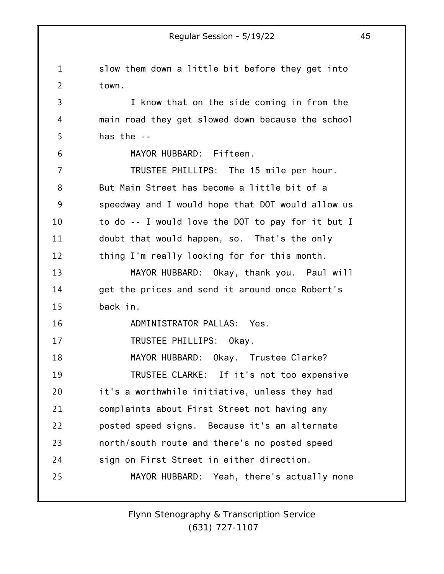1 2 3 4 5 6 7 8 9 10 11 12 13 14 15 16 17 18 19 20 21 22 23 24 25 Regular Session - 5/19/22 45 slow them down a little bit before they get into town. I know that on the side coming in from the main road they get slowed down because the school has the -- MAYOR HUBBARD: Fifteen. TRUSTEE PHILLIPS: The 15 mile per hour. But Main Street has become a little bit of a speedway and I would hope that DOT would allow us to do -- I would love the DOT to pay for it but I doubt that would happen, so. That's the only thing I'm really looking for for this month. MAYOR HUBBARD: Okay, thank you. Paul will get the prices and send it around once Robert's back in. ADMINISTRATOR PALLAS: Yes. TRUSTEE PHILLIPS: Okay. MAYOR HUBBARD: Okay. Trustee Clarke? TRUSTEE CLARKE: If it's not too expensive it's a worthwhile initiative, unless they had complaints about First Street not having any posted speed signs. Because it's an alternate north/south route and there's no posted speed sign on First Street in either direction. MAYOR HUBBARD: Yeah, there's actually none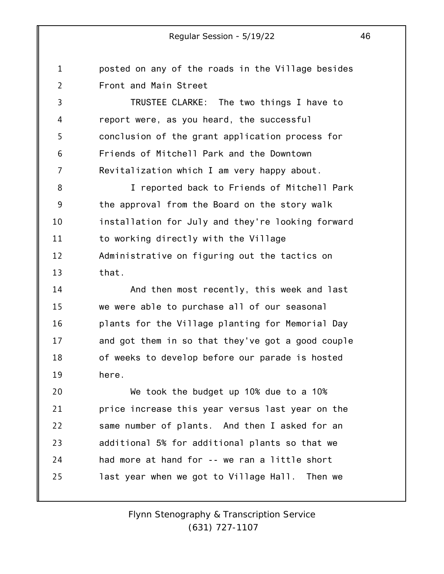1 2 posted on any of the roads in the Village besides Front and Main Street

3 4 5 6 7 TRUSTEE CLARKE: The two things I have to report were, as you heard, the successful conclusion of the grant application process for Friends of Mitchell Park and the Downtown Revitalization which I am very happy about.

8 9 10 11 12 13 I reported back to Friends of Mitchell Park the approval from the Board on the story walk installation for July and they're looking forward to working directly with the Village Administrative on figuring out the tactics on that.

14 15 16 17 18 19 And then most recently, this week and last we were able to purchase all of our seasonal plants for the Village planting for Memorial Day and got them in so that they've got a good couple of weeks to develop before our parade is hosted here.

20 21 22 23 24 25 We took the budget up 10% due to a 10% price increase this year versus last year on the same number of plants. And then I asked for an additional 5% for additional plants so that we had more at hand for -- we ran a little short last year when we got to Village Hall. Then we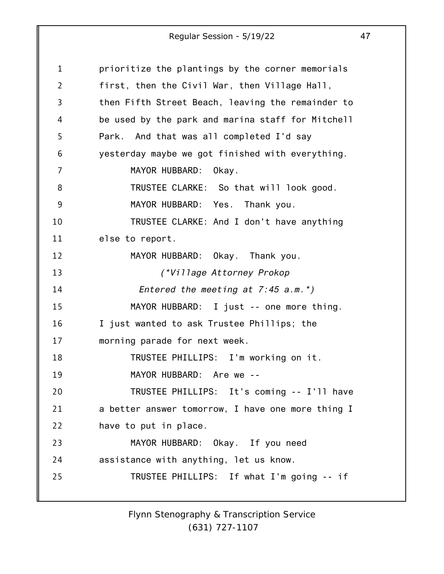| 1              | prioritize the plantings by the corner memorials  |
|----------------|---------------------------------------------------|
| $\overline{2}$ | first, then the Civil War, then Village Hall,     |
| 3              | then Fifth Street Beach, leaving the remainder to |
| 4              | be used by the park and marina staff for Mitchell |
| 5              | Park. And that was all completed I'd say          |
| 6              | yesterday maybe we got finished with everything.  |
| 7              | MAYOR HUBBARD:<br>Okay.                           |
| 8              | TRUSTEE CLARKE: So that will look good.           |
| 9              | MAYOR HUBBARD: Yes. Thank you.                    |
| 10             | TRUSTEE CLARKE: And I don't have anything         |
| 11             | else to report.                                   |
| 12             | MAYOR HUBBARD: Okay. Thank you.                   |
| 13             | (*Village Attorney Prokop                         |
| 14             | Entered the meeting at $7:45$ a.m.*)              |
| 15             | MAYOR HUBBARD: I just -- one more thing.          |
| 16             | I just wanted to ask Trustee Phillips; the        |
| 17             | morning parade for next week.                     |
| 18             | TRUSTEE PHILLIPS: I'm working on it.              |
| 19             | MAYOR HUBBARD: Are we --                          |
| 20             | TRUSTEE PHILLIPS: It's coming -- I'll have        |
| 21             | a better answer tomorrow, I have one more thing I |
| 22             | have to put in place.                             |
| 23             | MAYOR HUBBARD: Okay. If you need                  |
| 24             | assistance with anything, let us know.            |
| 25             | TRUSTEE PHILLIPS: If what I'm going -- if         |
|                |                                                   |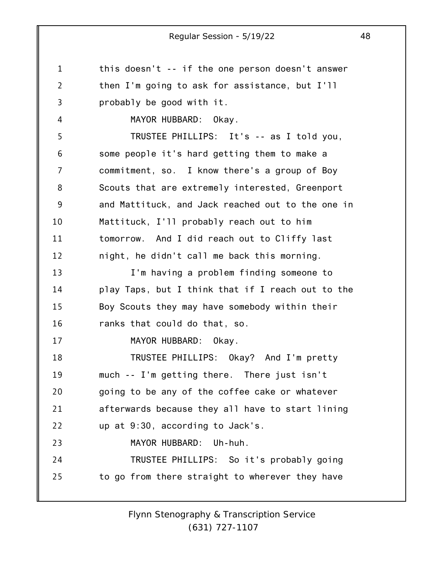1 2 3 4 5 6 7 8 9 10 11 12 13 14 15 16 17 18 19 20 21 22 23 24 25 this doesn't -- if the one person doesn't answer then I'm going to ask for assistance, but I'll probably be good with it. MAYOR HUBBARD: Okay. TRUSTEE PHILLIPS: It's -- as I told you, some people it's hard getting them to make a commitment, so. I know there's a group of Boy Scouts that are extremely interested, Greenport and Mattituck, and Jack reached out to the one in Mattituck, I'll probably reach out to him tomorrow. And I did reach out to Cliffy last night, he didn't call me back this morning. I'm having a problem finding someone to play Taps, but I think that if I reach out to the Boy Scouts they may have somebody within their ranks that could do that, so. MAYOR HUBBARD: Okay. TRUSTEE PHILLIPS: Okay? And I'm pretty much -- I'm getting there. There just isn't going to be any of the coffee cake or whatever afterwards because they all have to start lining up at 9:30, according to Jack's. MAYOR HUBBARD: Uh-huh. TRUSTEE PHILLIPS: So it's probably going to go from there straight to wherever they have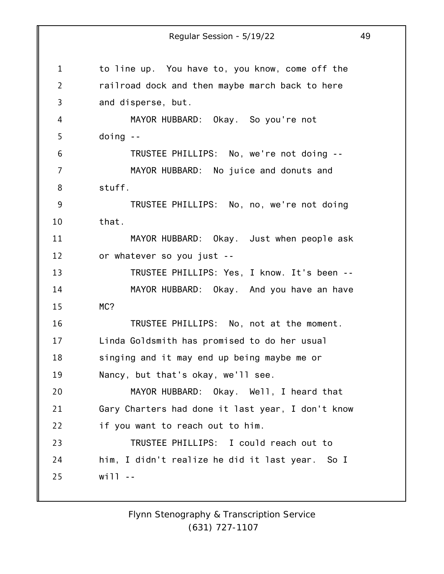1 2 3 4 5 6 7 8 9 10 11 12 13 14 15 16 17 18 19 20 21 22 23 24 25 to line up. You have to, you know, come off the railroad dock and then maybe march back to here and disperse, but. MAYOR HUBBARD: Okay. So you're not doing -- TRUSTEE PHILLIPS: No, we're not doing -- MAYOR HUBBARD: No juice and donuts and stuff. TRUSTEE PHILLIPS: No, no, we're not doing that. MAYOR HUBBARD: Okay. Just when people ask or whatever so you just -- TRUSTEE PHILLIPS: Yes, I know. It's been -- MAYOR HUBBARD: Okay. And you have an have MC? TRUSTEE PHILLIPS: No, not at the moment. Linda Goldsmith has promised to do her usual singing and it may end up being maybe me or Nancy, but that's okay, we'll see. MAYOR HUBBARD: Okay. Well, I heard that Gary Charters had done it last year, I don't know if you want to reach out to him. TRUSTEE PHILLIPS: I could reach out to him, I didn't realize he did it last year. So I  $will - -$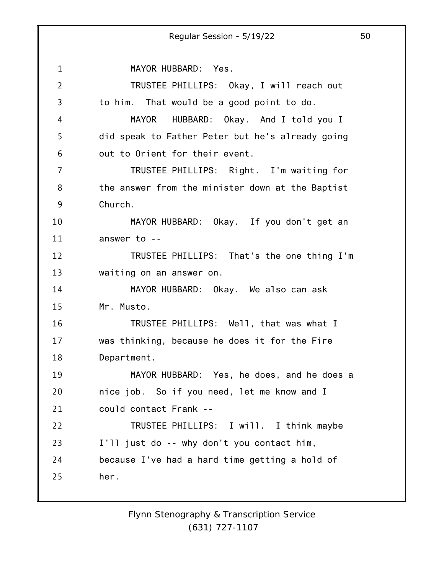1 2 3 4 5 6 7 8 9 10 11 12 13 14 15 16 17 18 19 20 21 22 23 24 25 Regular Session - 5/19/22 50 MAYOR HUBBARD: Yes. TRUSTEE PHILLIPS: Okay, I will reach out to him. That would be a good point to do. MAYOR HUBBARD: Okay. And I told you I did speak to Father Peter but he's already going out to Orient for their event. TRUSTEE PHILLIPS: Right. I'm waiting for the answer from the minister down at the Baptist Church. MAYOR HUBBARD: Okay. If you don't get an answer to -- TRUSTEE PHILLIPS: That's the one thing I'm waiting on an answer on. MAYOR HUBBARD: Okay. We also can ask Mr. Musto. TRUSTEE PHILLIPS: Well, that was what I was thinking, because he does it for the Fire Department. MAYOR HUBBARD: Yes, he does, and he does a nice job. So if you need, let me know and I could contact Frank -- TRUSTEE PHILLIPS: I will. I think maybe I'll just do -- why don't you contact him, because I've had a hard time getting a hold of her.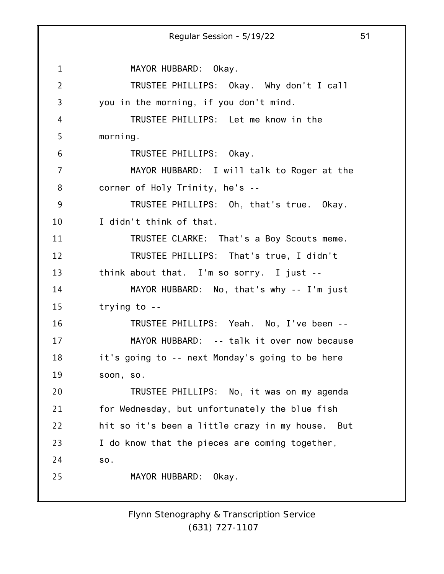1 2 3 4 5 6 7 8 9 10 11 12 13 14 15 16 17 18 19 20 21 22 23 24 25 Regular Session - 5/19/22 51 MAYOR HUBBARD: Okay. TRUSTEE PHILLIPS: Okay. Why don't I call you in the morning, if you don't mind. TRUSTEE PHILLIPS: Let me know in the morning. TRUSTEE PHILLIPS: Okay. MAYOR HUBBARD: I will talk to Roger at the corner of Holy Trinity, he's -- TRUSTEE PHILLIPS: Oh, that's true. Okay. I didn't think of that. TRUSTEE CLARKE: That's a Boy Scouts meme. TRUSTEE PHILLIPS: That's true, I didn't think about that. I'm so sorry. I just -- MAYOR HUBBARD: No, that's why -- I'm just trying to -- TRUSTEE PHILLIPS: Yeah. No, I've been -- MAYOR HUBBARD: -- talk it over now because it's going to -- next Monday's going to be here soon, so. TRUSTEE PHILLIPS: No, it was on my agenda for Wednesday, but unfortunately the blue fish hit so it's been a little crazy in my house. But I do know that the pieces are coming together, so. MAYOR HUBBARD: Okay.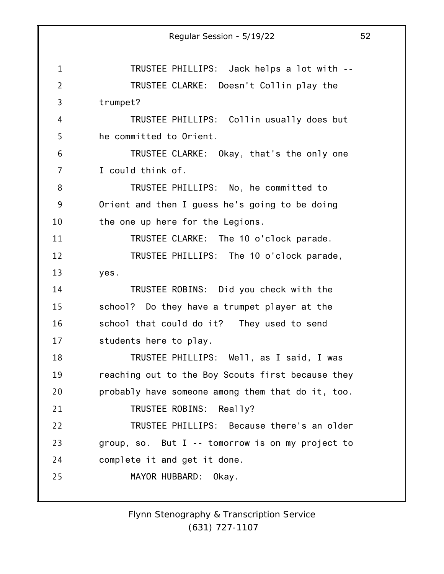1 2 3 4 5 6 7 8 9 10 11 12 13 14 15 16 17 18 19 20 21 22 23 24 25 Regular Session - 5/19/22 52 TRUSTEE PHILLIPS: Jack helps a lot with -- TRUSTEE CLARKE: Doesn't Collin play the trumpet? TRUSTEE PHILLIPS: Collin usually does but he committed to Orient. TRUSTEE CLARKE: Okay, that's the only one I could think of. TRUSTEE PHILLIPS: No, he committed to Orient and then I guess he's going to be doing the one up here for the Legions. TRUSTEE CLARKE: The 10 o'clock parade. TRUSTEE PHILLIPS: The 10 o'clock parade, yes. TRUSTEE ROBINS: Did you check with the school? Do they have a trumpet player at the school that could do it? They used to send students here to play. TRUSTEE PHILLIPS: Well, as I said, I was reaching out to the Boy Scouts first because they probably have someone among them that do it, too. TRUSTEE ROBINS: Really? TRUSTEE PHILLIPS: Because there's an older group, so. But I -- tomorrow is on my project to complete it and get it done. MAYOR HUBBARD: Okay.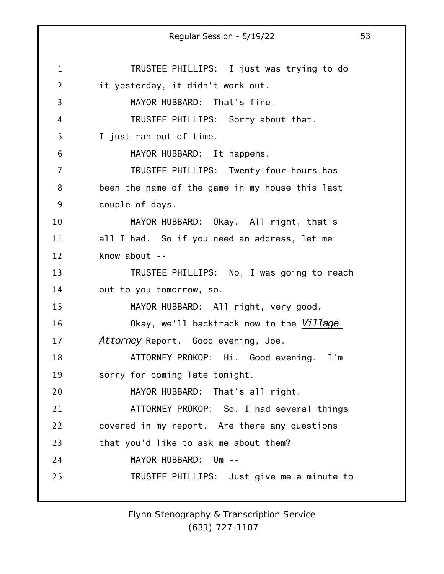1 2 3 4 5 6 7 8 9 10 11 12 13 14 15 16 17 18 19 20 21 22 23 24 25 Regular Session - 5/19/22 53 TRUSTEE PHILLIPS: I just was trying to do it yesterday, it didn't work out. MAYOR HUBBARD: That's fine. TRUSTEE PHILLIPS: Sorry about that. I just ran out of time. MAYOR HUBBARD: It happens. TRUSTEE PHILLIPS: Twenty-four-hours has been the name of the game in my house this last couple of days. MAYOR HUBBARD: Okay. All right, that's all I had. So if you need an address, let me know about -- TRUSTEE PHILLIPS: No, I was going to reach out to you tomorrow, so. MAYOR HUBBARD: All right, very good. Okay, we'll backtrack now to the *Village Attorney* Report. Good evening, Joe. ATTORNEY PROKOP: Hi. Good evening. I'm sorry for coming late tonight. MAYOR HUBBARD: That's all right. ATTORNEY PROKOP: So, I had several things covered in my report. Are there any questions that you'd like to ask me about them? MAYOR HUBBARD: Um -- TRUSTEE PHILLIPS: Just give me a minute to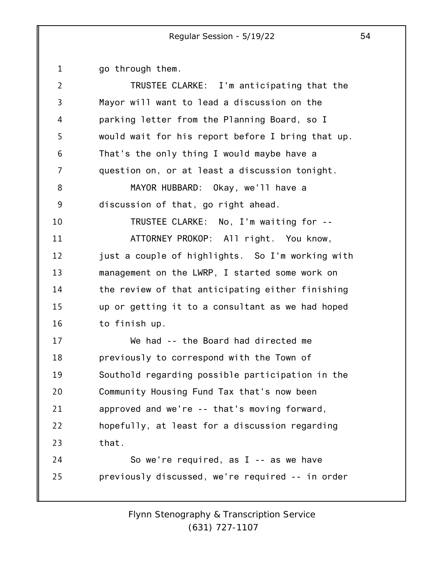1 go through them.

| $\overline{2}$ | TRUSTEE CLARKE: I'm anticipating that the         |
|----------------|---------------------------------------------------|
| 3              | Mayor will want to lead a discussion on the       |
| 4              | parking letter from the Planning Board, so I      |
| 5              | would wait for his report before I bring that up. |
| 6              | That's the only thing I would maybe have a        |
| 7              | question on, or at least a discussion tonight.    |
| 8              | MAYOR HUBBARD: Okay, we'll have a                 |
| 9              | discussion of that, go right ahead.               |
| 10             | TRUSTEE CLARKE: No, I'm waiting for --            |
| 11             | ATTORNEY PROKOP: All right. You know,             |
| 12             | just a couple of highlights. So I'm working with  |
| 13             | management on the LWRP, I started some work on    |
| 14             | the review of that anticipating either finishing  |
| 15             | up or getting it to a consultant as we had hoped  |
| 16             | to finish up.                                     |
| 17             | We had -- the Board had directed me               |
| 18             | previously to correspond with the Town of         |
| 19             | Southold regarding possible participation in the  |
| 20             | Community Housing Fund Tax that's now been        |
| 21             | approved and we're -- that's moving forward,      |
| 22             | hopefully, at least for a discussion regarding    |
| 23             | that.                                             |
| 24             | So we're required, as $I - -$ as we have          |
| 25             | previously discussed, we're required -- in order  |
|                |                                                   |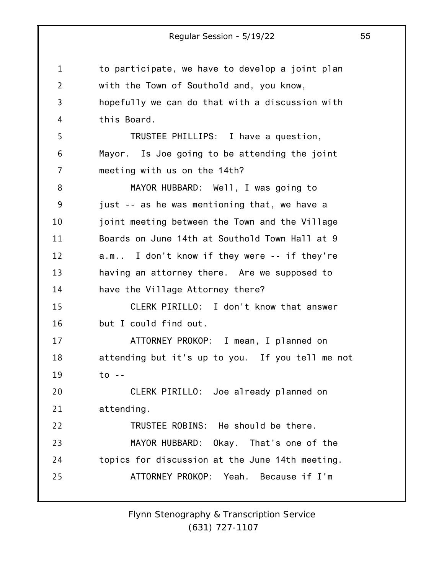1 2 3 4 5 6 7 8 9 10 11 12 13 14 15 16 17 18 19 20 21 22 23 24 25 Regular Session - 5/19/22 55 to participate, we have to develop a joint plan with the Town of Southold and, you know, hopefully we can do that with a discussion with this Board. TRUSTEE PHILLIPS: I have a question, Mayor. Is Joe going to be attending the joint meeting with us on the 14th? MAYOR HUBBARD: Well, I was going to just -- as he was mentioning that, we have a joint meeting between the Town and the Village Boards on June 14th at Southold Town Hall at 9 a.m.. I don't know if they were -- if they're having an attorney there. Are we supposed to have the Village Attorney there? CLERK PIRILLO: I don't know that answer but I could find out. ATTORNEY PROKOP: I mean, I planned on attending but it's up to you. If you tell me not to -- CLERK PIRILLO: Joe already planned on attending. TRUSTEE ROBINS: He should be there. MAYOR HUBBARD: Okay. That's one of the topics for discussion at the June 14th meeting. ATTORNEY PROKOP: Yeah. Because if I'm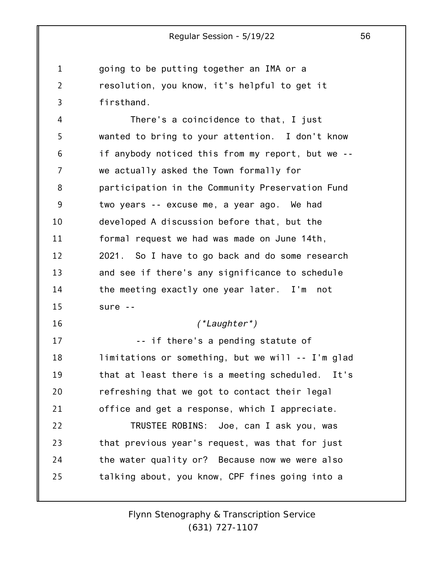1 2 3 going to be putting together an IMA or a resolution, you know, it's helpful to get it firsthand.

4 5 6 7 8 9 10 11 12 13 14 15 There's a coincidence to that, I just wanted to bring to your attention. I don't know if anybody noticed this from my report, but we - we actually asked the Town formally for participation in the Community Preservation Fund two years -- excuse me, a year ago. We had developed A discussion before that, but the formal request we had was made on June 14th, 2021. So I have to go back and do some research and see if there's any significance to schedule the meeting exactly one year later. I'm not sure --

#### *(\*Laughter\*)*

17 18 19 20 21 *--* if there's a pending statute of limitations or something, but we will -- I'm glad that at least there is a meeting scheduled. It's refreshing that we got to contact their legal office and get a response, which I appreciate.

16

22 23 24 25 TRUSTEE ROBINS: Joe, can I ask you, was that previous year's request, was that for just the water quality or? Because now we were also talking about, you know, CPF fines going into a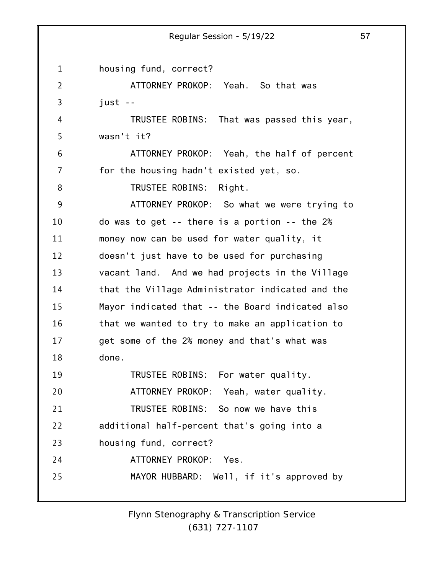1 2 3 4 5 6 7 8 9 10 11 12 13 14 15 16 17 18 19 20 21 22 23 24 25 housing fund, correct? ATTORNEY PROKOP: Yeah. So that was just -- TRUSTEE ROBINS: That was passed this year, wasn't it? ATTORNEY PROKOP: Yeah, the half of percent for the housing hadn't existed yet, so. TRUSTEE ROBINS: Right. ATTORNEY PROKOP: So what we were trying to do was to get -- there is a portion -- the 2% money now can be used for water quality, it doesn't just have to be used for purchasing vacant land. And we had projects in the Village that the Village Administrator indicated and the Mayor indicated that -- the Board indicated also that we wanted to try to make an application to get some of the 2% money and that's what was done. TRUSTEE ROBINS: For water quality. ATTORNEY PROKOP: Yeah, water quality. TRUSTEE ROBINS: So now we have this additional half-percent that's going into a housing fund, correct? ATTORNEY PROKOP: Yes. MAYOR HUBBARD: Well, if it's approved by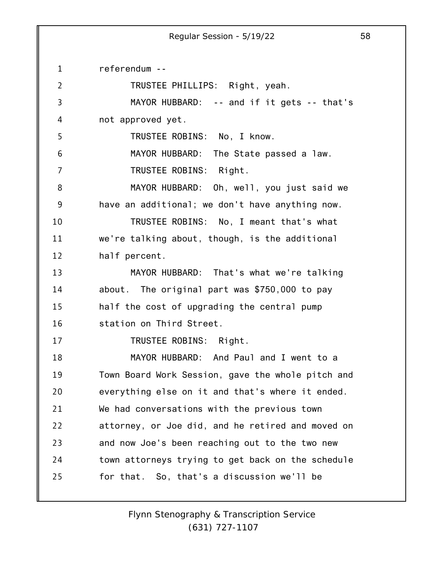1 2 3 4 5 6 7 8 9 10 11 12 13 14 15 16 17 18 19 20 21 22 23 24 25 referendum -- TRUSTEE PHILLIPS: Right, yeah. MAYOR HUBBARD: -- and if it gets -- that's not approved yet. TRUSTEE ROBINS: No, I know. MAYOR HUBBARD: The State passed a law. TRUSTEE ROBINS: Right. MAYOR HUBBARD: Oh, well, you just said we have an additional; we don't have anything now. TRUSTEE ROBINS: No, I meant that's what we're talking about, though, is the additional half percent. MAYOR HUBBARD: That's what we're talking about. The original part was \$750,000 to pay half the cost of upgrading the central pump station on Third Street. TRUSTEE ROBINS: Right. MAYOR HUBBARD: And Paul and I went to a Town Board Work Session, gave the whole pitch and everything else on it and that's where it ended. We had conversations with the previous town attorney, or Joe did, and he retired and moved on and now Joe's been reaching out to the two new town attorneys trying to get back on the schedule for that. So, that's a discussion we'll be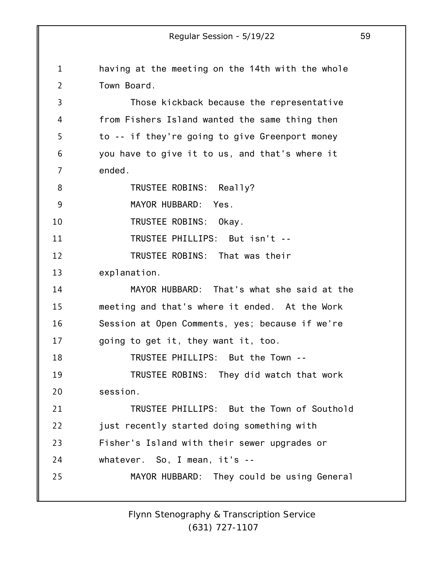1 2 3 4 5 6 7 8 9 10 11 12 13 14 15 16 17 18 19 20 21 22 23 24 25 having at the meeting on the 14th with the whole Town Board. Those kickback because the representative from Fishers Island wanted the same thing then to -- if they're going to give Greenport money you have to give it to us, and that's where it ended. TRUSTEE ROBINS: Really? MAYOR HUBBARD: Yes. TRUSTEE ROBINS: Okay. TRUSTEE PHILLIPS: But isn't -- TRUSTEE ROBINS: That was their explanation. MAYOR HUBBARD: That's what she said at the meeting and that's where it ended. At the Work Session at Open Comments, yes; because if we're going to get it, they want it, too. TRUSTEE PHILLIPS: But the Town -- TRUSTEE ROBINS: They did watch that work session. TRUSTEE PHILLIPS: But the Town of Southold just recently started doing something with Fisher's Island with their sewer upgrades or whatever. So, I mean, it's -- MAYOR HUBBARD: They could be using General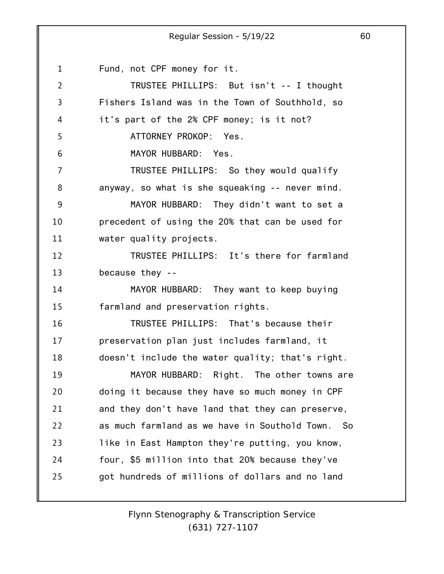1 2 3 4 5 6 7 8 9 10 11 12 13 14 15 16 17 18 19 20 21 22 23 24 25 Fund, not CPF money for it. TRUSTEE PHILLIPS: But isn't -- I thought Fishers Island was in the Town of Southhold, so it's part of the 2% CPF money; is it not? ATTORNEY PROKOP: Yes. MAYOR HUBBARD: Yes. TRUSTEE PHILLIPS: So they would qualify anyway, so what is she squeaking -- never mind. MAYOR HUBBARD: They didn't want to set a precedent of using the 20% that can be used for water quality projects. TRUSTEE PHILLIPS: It's there for farmland because they -- MAYOR HUBBARD: They want to keep buying farmland and preservation rights. TRUSTEE PHILLIPS: That's because their preservation plan just includes farmland, it doesn't include the water quality; that's right. MAYOR HUBBARD: Right. The other towns are doing it because they have so much money in CPF and they don't have land that they can preserve, as much farmland as we have in Southold Town. So like in East Hampton they're putting, you know, four, \$5 million into that 20% because they've got hundreds of millions of dollars and no land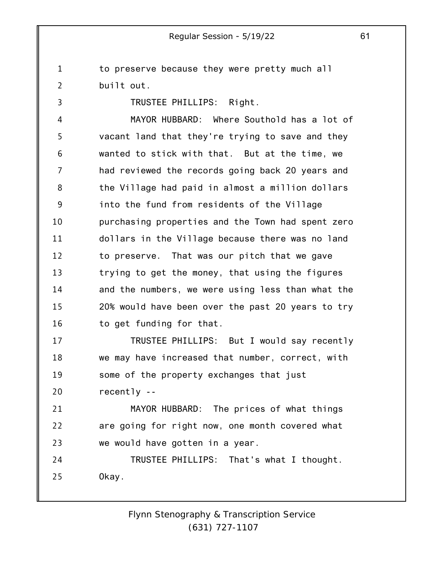1 2 to preserve because they were pretty much all built out.

TRUSTEE PHILLIPS: Right.

3

4 5 6 7 8 9 10 11 12 13 14 15 16 MAYOR HUBBARD: Where Southold has a lot of vacant land that they're trying to save and they wanted to stick with that. But at the time, we had reviewed the records going back 20 years and the Village had paid in almost a million dollars into the fund from residents of the Village purchasing properties and the Town had spent zero dollars in the Village because there was no land to preserve. That was our pitch that we gave trying to get the money, that using the figures and the numbers, we were using less than what the 20% would have been over the past 20 years to try to get funding for that.

17 18 19 20 TRUSTEE PHILLIPS: But I would say recently we may have increased that number, correct, with some of the property exchanges that just recently --

21 22 23 MAYOR HUBBARD: The prices of what things are going for right now, one month covered what we would have gotten in a year.

24 25 TRUSTEE PHILLIPS: That's what I thought. Okay.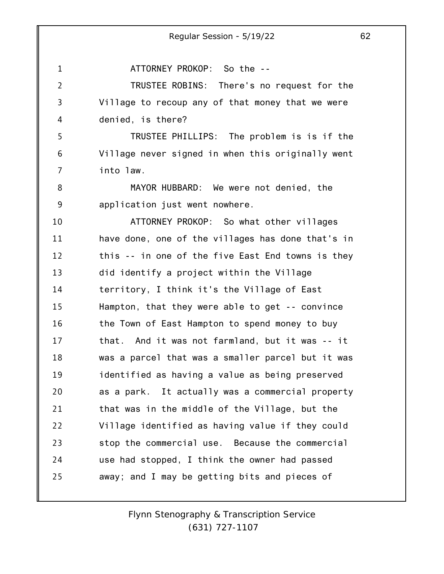1 2 3 4 5 6 7 8 9 10 11 12 13 14 15 16 17 18 19 20 21 22 23 24 25 ATTORNEY PROKOP: So the -- TRUSTEE ROBINS: There's no request for the Village to recoup any of that money that we were denied, is there? TRUSTEE PHILLIPS: The problem is is if the Village never signed in when this originally went into law. MAYOR HUBBARD: We were not denied, the application just went nowhere. ATTORNEY PROKOP: So what other villages have done, one of the villages has done that's in this -- in one of the five East End towns is they did identify a project within the Village territory, I think it's the Village of East Hampton, that they were able to get -- convince the Town of East Hampton to spend money to buy that. And it was not farmland, but it was -- it was a parcel that was a smaller parcel but it was identified as having a value as being preserved as a park. It actually was a commercial property that was in the middle of the Village, but the Village identified as having value if they could stop the commercial use. Because the commercial use had stopped, I think the owner had passed away; and I may be getting bits and pieces of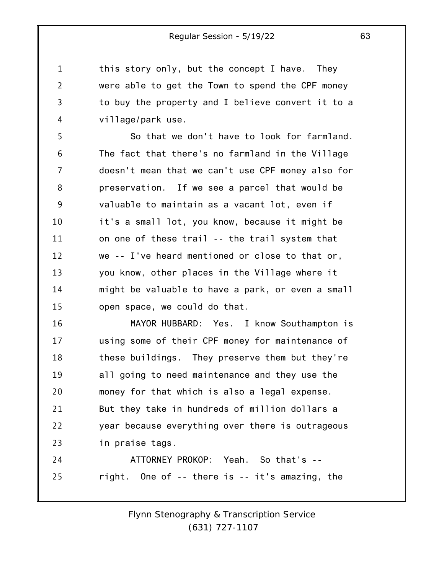this story only, but the concept I have. They were able to get the Town to spend the CPF money to buy the property and I believe convert it to a village/park use.

1

2

3

4

5 6 7 8 9 10 11 12 13 14 15 So that we don't have to look for farmland. The fact that there's no farmland in the Village doesn't mean that we can't use CPF money also for preservation. If we see a parcel that would be valuable to maintain as a vacant lot, even if it's a small lot, you know, because it might be on one of these trail -- the trail system that we -- I've heard mentioned or close to that or, you know, other places in the Village where it might be valuable to have a park, or even a small open space, we could do that.

16 17 18 19 20 21 22 23 MAYOR HUBBARD: Yes. I know Southampton is using some of their CPF money for maintenance of these buildings. They preserve them but they're all going to need maintenance and they use the money for that which is also a legal expense. But they take in hundreds of million dollars a year because everything over there is outrageous in praise tags.

24 25 ATTORNEY PROKOP: Yeah. So that's - right. One of -- there is -- it's amazing, the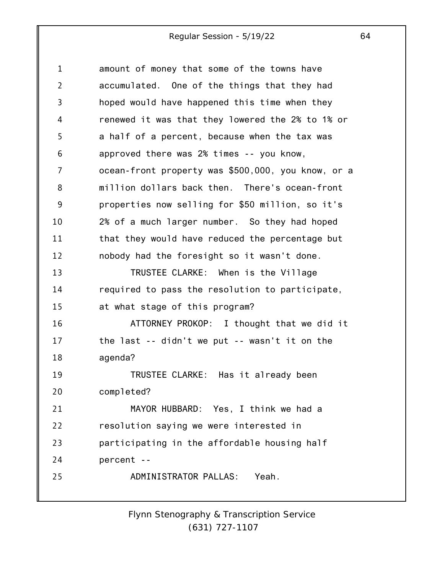| $\mathbf{1}$   | amount of money that some of the towns have        |
|----------------|----------------------------------------------------|
| $\overline{2}$ | accumulated. One of the things that they had       |
| $\overline{3}$ | hoped would have happened this time when they      |
| 4              | renewed it was that they lowered the 2% to 1% or   |
| 5              | a half of a percent, because when the tax was      |
| 6              | approved there was 2% times -- you know,           |
| 7              | ocean-front property was \$500,000, you know, or a |
| 8              | million dollars back then. There's ocean-front     |
| 9              | properties now selling for \$50 million, so it's   |
| 10             | 2% of a much larger number. So they had hoped      |
| 11             | that they would have reduced the percentage but    |
| 12             | nobody had the foresight so it wasn't done.        |
| 13             | TRUSTEE CLARKE: When is the Village                |
| 14             | required to pass the resolution to participate,    |
| 15             | at what stage of this program?                     |
| 16             | ATTORNEY PROKOP: I thought that we did it          |
| 17             | the last -- didn't we put -- wasn't it on the      |
| 18             | agenda?                                            |
| 19             | TRUSTEE CLARKE: Has it already been                |
| 20             | completed?                                         |
| 21             | MAYOR HUBBARD: Yes, I think we had a               |
| 22             | resolution saying we were interested in            |
| 23             | participating in the affordable housing half       |
| 24             | percent --                                         |
| 25             | ADMINISTRATOR PALLAS:<br>Yeah.                     |
|                |                                                    |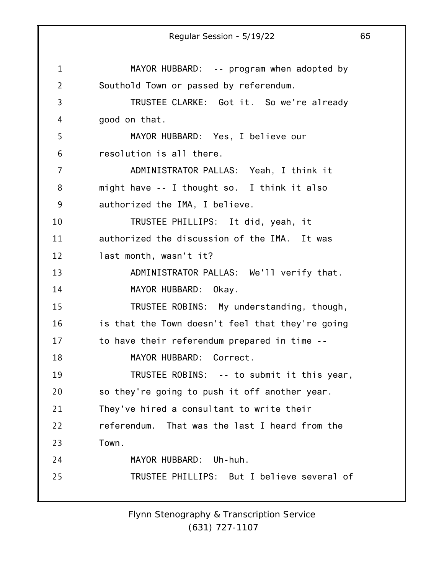1 2 3 4 5 6 7 8 9 10 11 12 13 14 15 16 17 18 19 20 21 22 23 24 25 Regular Session - 5/19/22 65 MAYOR HUBBARD: -- program when adopted by Southold Town or passed by referendum. TRUSTEE CLARKE: Got it. So we're already good on that. MAYOR HUBBARD: Yes, I believe our resolution is all there. ADMINISTRATOR PALLAS: Yeah, I think it might have -- I thought so. I think it also authorized the IMA, I believe. TRUSTEE PHILLIPS: It did, yeah, it authorized the discussion of the IMA. It was last month, wasn't it? ADMINISTRATOR PALLAS: We'll verify that. MAYOR HUBBARD: Okay. TRUSTEE ROBINS: My understanding, though, is that the Town doesn't feel that they're going to have their referendum prepared in time -- MAYOR HUBBARD: Correct. TRUSTEE ROBINS: -- to submit it this year, so they're going to push it off another year. They've hired a consultant to write their referendum. That was the last I heard from the Town. MAYOR HUBBARD: Uh-huh. TRUSTEE PHILLIPS: But I believe several of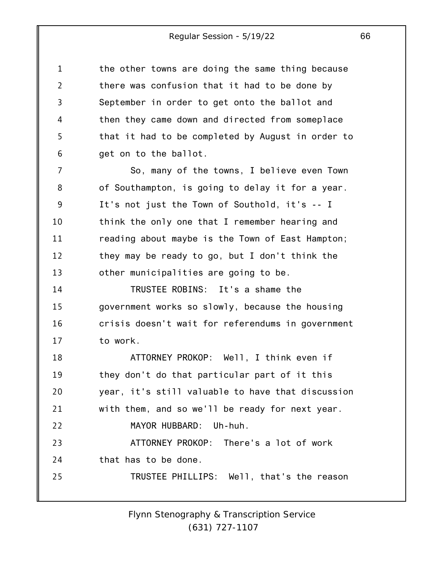1 2 3 4 5 6 the other towns are doing the same thing because there was confusion that it had to be done by September in order to get onto the ballot and then they came down and directed from someplace that it had to be completed by August in order to get on to the ballot.

7 8 9 10 11 12 13 So, many of the towns, I believe even Town of Southampton, is going to delay it for a year. It's not just the Town of Southold, it's -- I think the only one that I remember hearing and reading about maybe is the Town of East Hampton; they may be ready to go, but I don't think the other municipalities are going to be.

14 15 16 17 TRUSTEE ROBINS: It's a shame the government works so slowly, because the housing crisis doesn't wait for referendums in government to work.

18 19 20 21 22 23 24 25 ATTORNEY PROKOP: Well, I think even if they don't do that particular part of it this year, it's still valuable to have that discussion with them, and so we'll be ready for next year. MAYOR HUBBARD: Uh-huh. ATTORNEY PROKOP: There's a lot of work that has to be done. TRUSTEE PHILLIPS: Well, that's the reason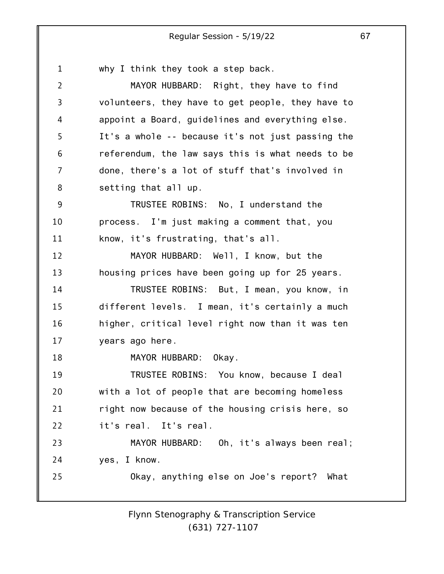1 2 3 4 5 6 7 8 9 10 11 12 13 14 15 16 17 18 19 20 21 22 23 24 25 why I think they took a step back. MAYOR HUBBARD: Right, they have to find volunteers, they have to get people, they have to appoint a Board, guidelines and everything else. It's a whole -- because it's not just passing the referendum, the law says this is what needs to be done, there's a lot of stuff that's involved in setting that all up. TRUSTEE ROBINS: No, I understand the process. I'm just making a comment that, you know, it's frustrating, that's all. MAYOR HUBBARD: Well, I know, but the housing prices have been going up for 25 years. TRUSTEE ROBINS: But, I mean, you know, in different levels. I mean, it's certainly a much higher, critical level right now than it was ten years ago here. MAYOR HUBBARD: Okay. TRUSTEE ROBINS: You know, because I deal with a lot of people that are becoming homeless right now because of the housing crisis here, so it's real. It's real. MAYOR HUBBARD: Oh, it's always been real; yes, I know. Okay, anything else on Joe's report? What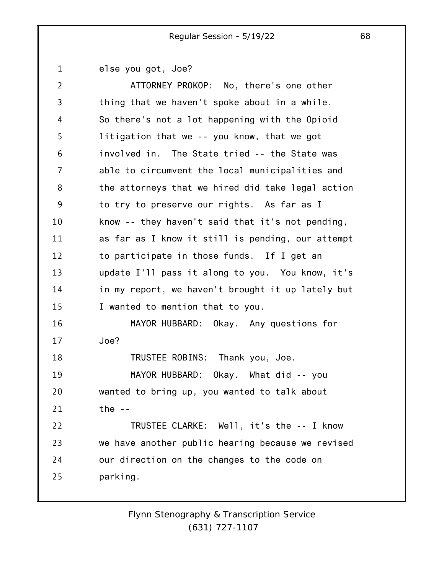1 else you got, Joe?

| $\overline{2}$ | ATTORNEY PROKOP: No, there's one other            |
|----------------|---------------------------------------------------|
| 3              | thing that we haven't spoke about in a while.     |
| 4              | So there's not a lot happening with the Opioid    |
| 5              | litigation that we -- you know, that we got       |
| 6              | involved in. The State tried -- the State was     |
| 7              | able to circumvent the local municipalities and   |
| 8              | the attorneys that we hired did take legal action |
| 9              | to try to preserve our rights. As far as I        |
| 10             | know -- they haven't said that it's not pending,  |
| 11             | as far as I know it still is pending, our attempt |
| 12             | to participate in those funds. If I get an        |
| 13             | update I'll pass it along to you. You know, it's  |
| 14             | in my report, we haven't brought it up lately but |
| 15             | I wanted to mention that to you.                  |
| 16             | MAYOR HUBBARD: Okay. Any questions for            |
| 17             | Joe?                                              |
| 18             | TRUSTEE ROBINS: Thank you, Joe.                   |
| 19             | MAYOR HUBBARD: Okay. What did -- you              |
| 20             | wanted to bring up, you wanted to talk about      |
| 21             | the $-$                                           |
| 22             | TRUSTEE CLARKE: Well, it's the -- I know          |
| 23             | we have another public hearing because we revised |
| 24             | our direction on the changes to the code on       |
| 25             | parking.                                          |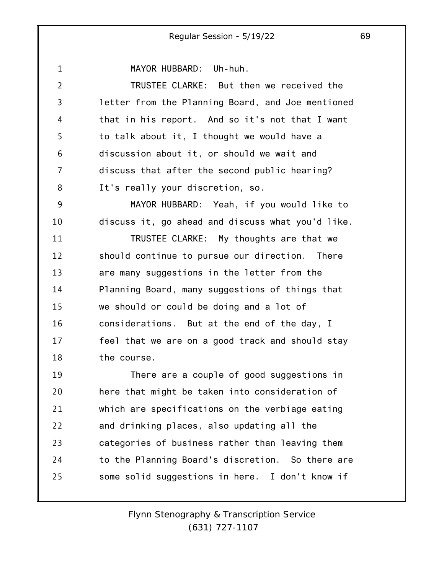MAYOR HUBBARD: Uh-huh.

1

2 3 4 5 6 7 8 9 10 11 12 13 14 15 16 17 18 19 20 21 22 23 24 25 TRUSTEE CLARKE: But then we received the letter from the Planning Board, and Joe mentioned that in his report. And so it's not that I want to talk about it, I thought we would have a discussion about it, or should we wait and discuss that after the second public hearing? It's really your discretion, so. MAYOR HUBBARD: Yeah, if you would like to discuss it, go ahead and discuss what you'd like. TRUSTEE CLARKE: My thoughts are that we should continue to pursue our direction. There are many suggestions in the letter from the Planning Board, many suggestions of things that we should or could be doing and a lot of considerations. But at the end of the day, I feel that we are on a good track and should stay the course. There are a couple of good suggestions in here that might be taken into consideration of which are specifications on the verbiage eating and drinking places, also updating all the categories of business rather than leaving them to the Planning Board's discretion. So there are some solid suggestions in here. I don't know if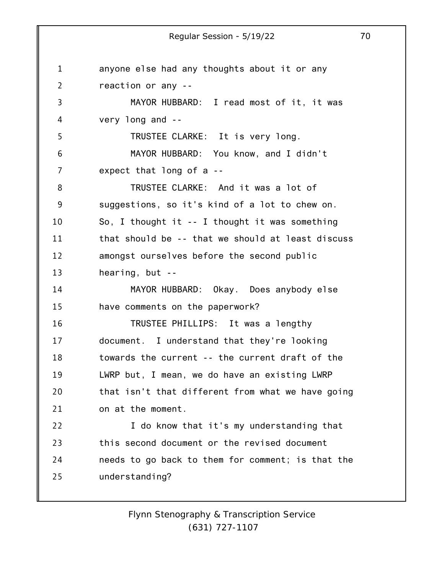1 2 3 4 5 6 7 8 9 10 11 12 13 14 15 16 17 18 19 20 21 22 23 24 25 anyone else had any thoughts about it or any reaction or any -- MAYOR HUBBARD: I read most of it, it was very long and -- TRUSTEE CLARKE: It is very long. MAYOR HUBBARD: You know, and I didn't expect that long of a -- TRUSTEE CLARKE: And it was a lot of suggestions, so it's kind of a lot to chew on. So, I thought it -- I thought it was something that should be -- that we should at least discuss amongst ourselves before the second public hearing, but -- MAYOR HUBBARD: Okay. Does anybody else have comments on the paperwork? TRUSTEE PHILLIPS: It was a lengthy document. I understand that they're looking towards the current -- the current draft of the LWRP but, I mean, we do have an existing LWRP that isn't that different from what we have going on at the moment. I do know that it's my understanding that this second document or the revised document needs to go back to them for comment; is that the understanding?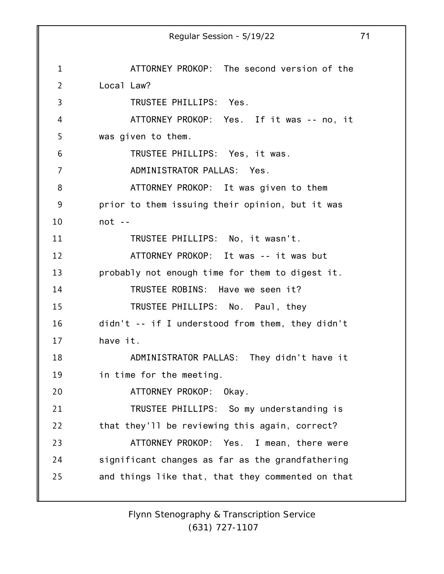1 2 3 4 5 6 7 8 9 10 11 12 13 14 15 16 17 18 19 20 21 22 23 24 25 Regular Session - 5/19/22 71 ATTORNEY PROKOP: The second version of the Local Law? TRUSTEE PHILLIPS: Yes. ATTORNEY PROKOP: Yes. If it was -- no, it was given to them. TRUSTEE PHILLIPS: Yes, it was. ADMINISTRATOR PALLAS: Yes. ATTORNEY PROKOP: It was given to them prior to them issuing their opinion, but it was  $not - -$ TRUSTEE PHILLIPS: No, it wasn't. ATTORNEY PROKOP: It was -- it was but probably not enough time for them to digest it. TRUSTEE ROBINS: Have we seen it? TRUSTEE PHILLIPS: No. Paul, they didn't -- if I understood from them, they didn't have it. ADMINISTRATOR PALLAS: They didn't have it in time for the meeting. ATTORNEY PROKOP: Okay. TRUSTEE PHILLIPS: So my understanding is that they'll be reviewing this again, correct? ATTORNEY PROKOP: Yes. I mean, there were significant changes as far as the grandfathering and things like that, that they commented on that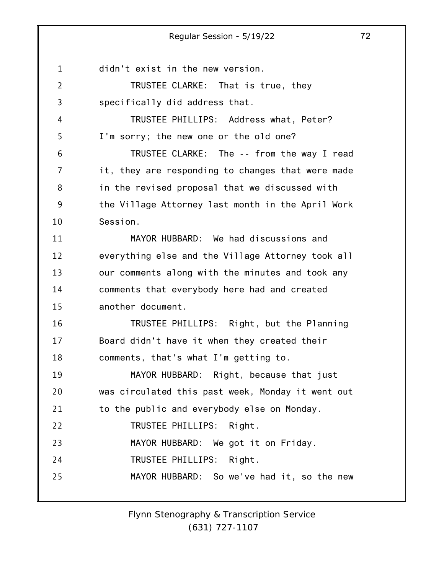1 didn't exist in the new version.

4

5

2 3 TRUSTEE CLARKE: That is true, they specifically did address that.

TRUSTEE PHILLIPS: Address what, Peter? I'm sorry; the new one or the old one?

6 7 8 9 10 TRUSTEE CLARKE: The -- from the way I read it, they are responding to changes that were made in the revised proposal that we discussed with the Village Attorney last month in the April Work Session.

11 12 13 14 15 MAYOR HUBBARD: We had discussions and everything else and the Village Attorney took all our comments along with the minutes and took any comments that everybody here had and created another document.

16 17 18 TRUSTEE PHILLIPS: Right, but the Planning Board didn't have it when they created their comments, that's what I'm getting to.

19 20 21 22 23 24 25 MAYOR HUBBARD: Right, because that just was circulated this past week, Monday it went out to the public and everybody else on Monday. TRUSTEE PHILLIPS: Right. MAYOR HUBBARD: We got it on Friday. TRUSTEE PHILLIPS: Right. MAYOR HUBBARD: So we've had it, so the new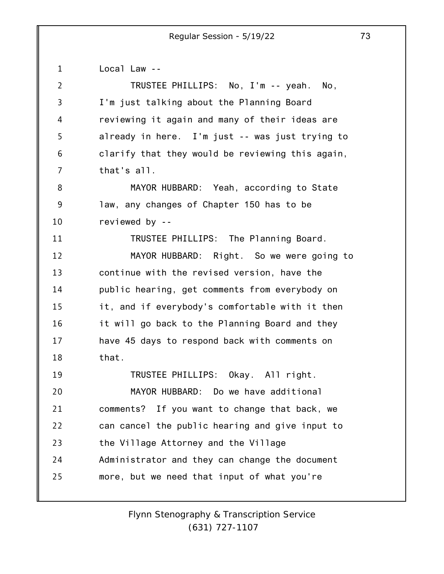1 2 3 4 5 6 7 8 9 10 11 12 13 14 15 16 17 18 19 20 21 22 23 24 25 Local Law -- TRUSTEE PHILLIPS: No, I'm -- yeah. No, I'm just talking about the Planning Board reviewing it again and many of their ideas are already in here. I'm just -- was just trying to clarify that they would be reviewing this again, that's all. MAYOR HUBBARD: Yeah, according to State law, any changes of Chapter 150 has to be reviewed by -- TRUSTEE PHILLIPS: The Planning Board. MAYOR HUBBARD: Right. So we were going to continue with the revised version, have the public hearing, get comments from everybody on it, and if everybody's comfortable with it then it will go back to the Planning Board and they have 45 days to respond back with comments on that. TRUSTEE PHILLIPS: Okay. All right. MAYOR HUBBARD: Do we have additional comments? If you want to change that back, we can cancel the public hearing and give input to the Village Attorney and the Village Administrator and they can change the document more, but we need that input of what you're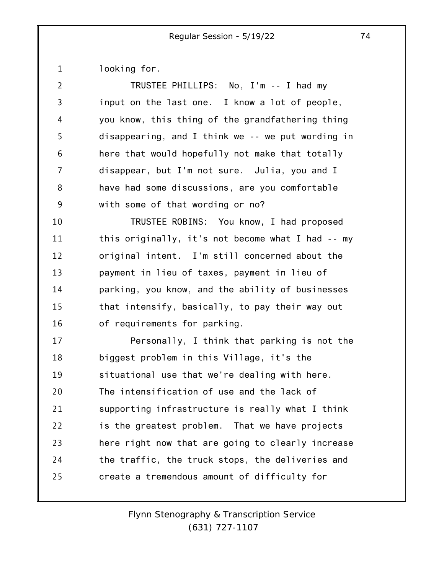1 looking for.

| $\overline{2}$ | TRUSTEE PHILLIPS: No, I'm -- I had my             |
|----------------|---------------------------------------------------|
| 3              | input on the last one. I know a lot of people,    |
| 4              | you know, this thing of the grandfathering thing  |
| 5              | disappearing, and I think we -- we put wording in |
| 6              | here that would hopefully not make that totally   |
| 7              | disappear, but I'm not sure. Julia, you and I     |
| 8              | have had some discussions, are you comfortable    |
| 9              | with some of that wording or no?                  |
| 10             | TRUSTEE ROBINS: You know, I had proposed          |
| 11             | this originally, it's not become what I had -- my |
| 12             | original intent. I'm still concerned about the    |
| 13             | payment in lieu of taxes, payment in lieu of      |
| 14             | parking, you know, and the ability of businesses  |
| 15             | that intensify, basically, to pay their way out   |
| 16             | of requirements for parking.                      |
| 17             | Personally, I think that parking is not the       |
| 18             | biggest problem in this Village, it's the         |
| 19             | situational use that we're dealing with here.     |
| 20             | The intensification of use and the lack of        |
| 21             | supporting infrastructure is really what I think  |
| 22             | is the greatest problem. That we have projects    |
| 23             | here right now that are going to clearly increase |
| 24             | the traffic, the truck stops, the deliveries and  |
| 25             | create a tremendous amount of difficulty for      |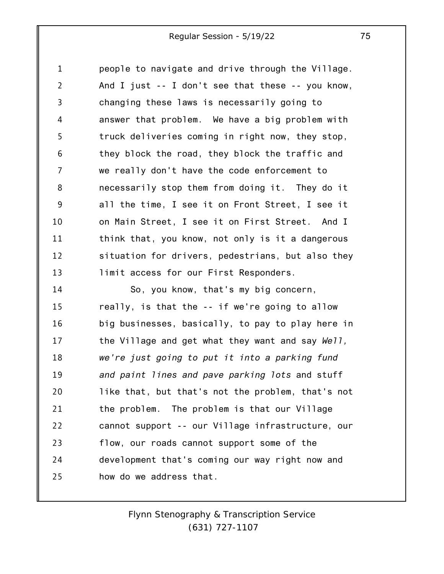1 2 3 4 5 6 7 8 9 10 11 12 13 14 15 16 17 18 19 20 21 22 23 24 25 people to navigate and drive through the Village. And I just -- I don't see that these -- you know, changing these laws is necessarily going to answer that problem. We have a big problem with truck deliveries coming in right now, they stop, they block the road, they block the traffic and we really don't have the code enforcement to necessarily stop them from doing it. They do it all the time, I see it on Front Street, I see it on Main Street, I see it on First Street. And I think that, you know, not only is it a dangerous situation for drivers, pedestrians, but also they limit access for our First Responders. So, you know, that's my big concern, really, is that the -- if we're going to allow big businesses, basically, to pay to play here in the Village and get what they want and say *Well, we're just going to put it into a parking fund and paint lines and pave parking lots* and stuff like that, but that's not the problem, that's not the problem. The problem is that our Village cannot support -- our Village infrastructure, our flow, our roads cannot support some of the development that's coming our way right now and how do we address that.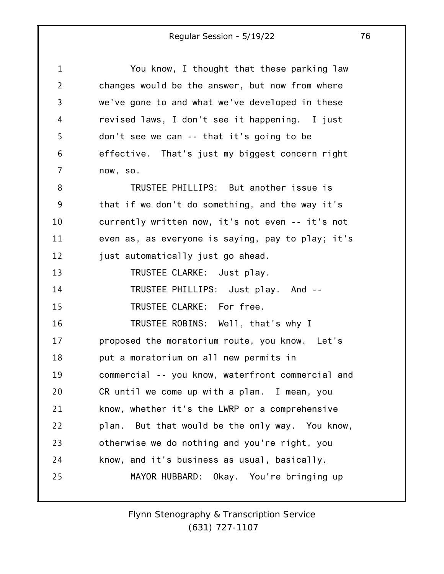| $\mathbf{1}$   | You know, I thought that these parking law        |
|----------------|---------------------------------------------------|
| $\overline{2}$ | changes would be the answer, but now from where   |
| 3              | we've gone to and what we've developed in these   |
| 4              | revised laws, I don't see it happening. I just    |
| 5              | don't see we can -- that it's going to be         |
| 6              | effective. That's just my biggest concern right   |
| 7              | now, so.                                          |
| 8              | TRUSTEE PHILLIPS: But another issue is            |
| 9              | that if we don't do something, and the way it's   |
| 10             | currently written now, it's not even -- it's not  |
| 11             | even as, as everyone is saying, pay to play; it's |
| 12             | just automatically just go ahead.                 |
| 13             | TRUSTEE CLARKE: Just play.                        |
| 14             | TRUSTEE PHILLIPS: Just play. And --               |
| 15             | TRUSTEE CLARKE: For free.                         |
| 16             | TRUSTEE ROBINS: Well, that's why I                |
| 17             | proposed the moratorium route, you know. Let's    |
| 18             | put a moratorium on all new permits in            |
| 19             | commercial -- you know, waterfront commercial and |
| 20             | CR until we come up with a plan. I mean, you      |
| 21             | know, whether it's the LWRP or a comprehensive    |
| 22             | plan. But that would be the only way. You know,   |
| 23             | otherwise we do nothing and you're right, you     |
| 24             | know, and it's business as usual, basically.      |

*Flynn Stenography & Transcription Service (631) 727-1107*

MAYOR HUBBARD: Okay. You're bringing up

25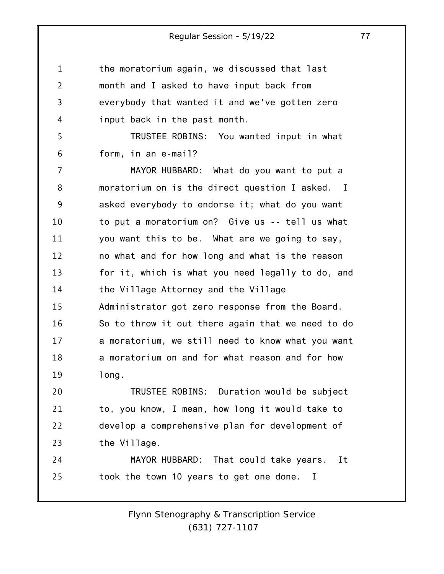1 2 3 4 5 6 7 8 9 10 11 12 13 14 15 16 17 18 19 20 21 22 23 24 25 the moratorium again, we discussed that last month and I asked to have input back from everybody that wanted it and we've gotten zero input back in the past month. TRUSTEE ROBINS: You wanted input in what form, in an e-mail? MAYOR HUBBARD: What do you want to put a moratorium on is the direct question I asked. I asked everybody to endorse it; what do you want to put a moratorium on? Give us -- tell us what you want this to be. What are we going to say, no what and for how long and what is the reason for it, which is what you need legally to do, and the Village Attorney and the Village Administrator got zero response from the Board. So to throw it out there again that we need to do a moratorium, we still need to know what you want a moratorium on and for what reason and for how long. TRUSTEE ROBINS: Duration would be subject to, you know, I mean, how long it would take to develop a comprehensive plan for development of the Village. MAYOR HUBBARD: That could take years. It took the town 10 years to get one done. I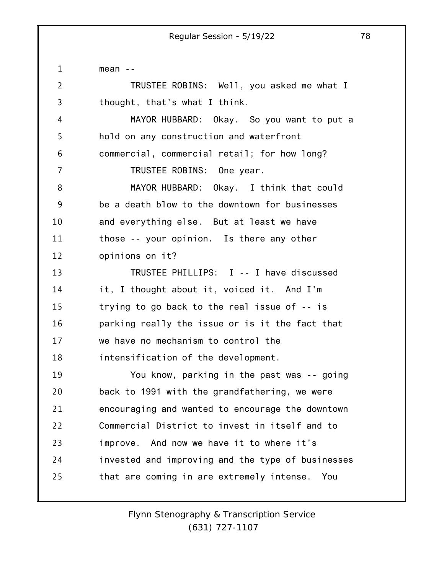1 2 3 4 5 6 7 8 9 10 11 12 13 14 15 16 17 18 19 20 21 22 23 24 25 mean -- TRUSTEE ROBINS: Well, you asked me what I thought, that's what I think. MAYOR HUBBARD: Okay. So you want to put a hold on any construction and waterfront commercial, commercial retail; for how long? TRUSTEE ROBINS: One year. MAYOR HUBBARD: Okay. I think that could be a death blow to the downtown for businesses and everything else. But at least we have those -- your opinion. Is there any other opinions on it? TRUSTEE PHILLIPS: I -- I have discussed it, I thought about it, voiced it. And I'm trying to go back to the real issue of -- is parking really the issue or is it the fact that we have no mechanism to control the intensification of the development. You know, parking in the past was -- going back to 1991 with the grandfathering, we were encouraging and wanted to encourage the downtown Commercial District to invest in itself and to improve. And now we have it to where it's invested and improving and the type of businesses that are coming in are extremely intense. You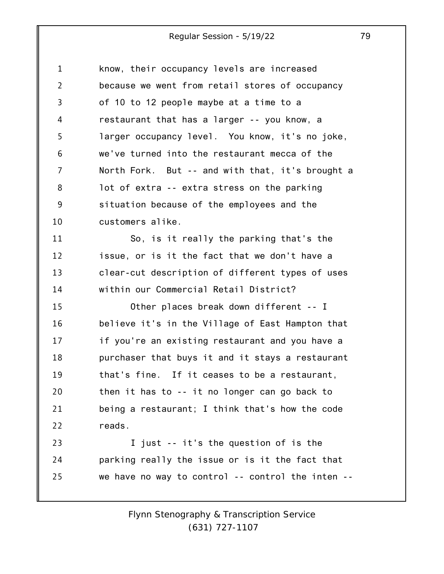| 1              | know, their occupancy levels are increased        |
|----------------|---------------------------------------------------|
| $\overline{2}$ | because we went from retail stores of occupancy   |
| 3              | of 10 to 12 people maybe at a time to a           |
| 4              | restaurant that has a larger -- you know, a       |
| 5              | larger occupancy level. You know, it's no joke,   |
| 6              | we've turned into the restaurant mecca of the     |
| 7              | North Fork. But -- and with that, it's brought a  |
| 8              | lot of extra -- extra stress on the parking       |
| 9              | situation because of the employees and the        |
| 10             | customers alike.                                  |
| 11             | So, is it really the parking that's the           |
| 12             | issue, or is it the fact that we don't have a     |
| 13             | clear-cut description of different types of uses  |
| 14             | within our Commercial Retail District?            |
| 15             | Other places break down different -- I            |
| 16             | believe it's in the Village of East Hampton that  |
| 17             | if you're an existing restaurant and you have a   |
| 18             | purchaser that buys it and it stays a restaurant  |
| 19             | that's fine. If it ceases to be a restaurant,     |
| 20             | then it has to -- it no longer can go back to     |
| 21             | being a restaurant; I think that's how the code   |
| 22             | reads.                                            |
| 23             | I just -- it's the question of is the             |
| 24             | parking really the issue or is it the fact that   |
| 25             | we have no way to control -- control the inten -- |
|                |                                                   |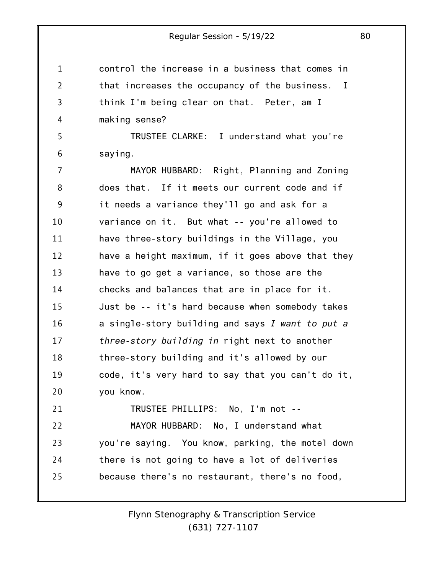1 2 3 4 5 6 7 8 9 10 11 12 13 14 15 16 17 18 19 20 21 22 23 24 25 control the increase in a business that comes in that increases the occupancy of the business. I think I'm being clear on that. Peter, am I making sense? TRUSTEE CLARKE: I understand what you're saying. MAYOR HUBBARD: Right, Planning and Zoning does that. If it meets our current code and if it needs a variance they'll go and ask for a variance on it. But what -- you're allowed to have three-story buildings in the Village, you have a height maximum, if it goes above that they have to go get a variance, so those are the checks and balances that are in place for it. Just be -- it's hard because when somebody takes a single-story building and says *I want to put a three-story building in* right next to another three-story building and it's allowed by our code, it's very hard to say that you can't do it, you know. TRUSTEE PHILLIPS: No, I'm not -- MAYOR HUBBARD: No, I understand what you're saying. You know, parking, the motel down there is not going to have a lot of deliveries because there's no restaurant, there's no food,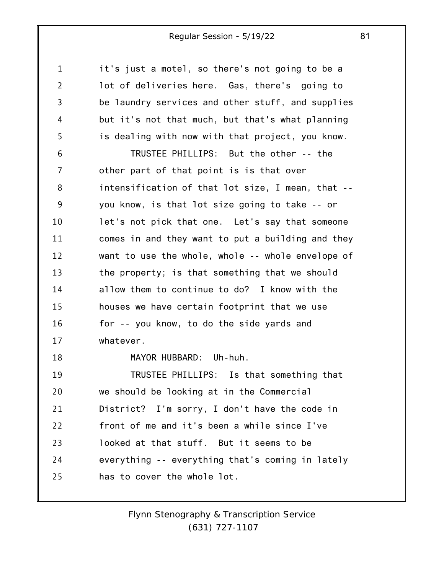1 2 3 4 5 6 7 8 9 10 11 12 13 14 15 16 17 18 19 20 21 22 23 24 25 it's just a motel, so there's not going to be a lot of deliveries here. Gas, there's going to be laundry services and other stuff, and supplies but it's not that much, but that's what planning is dealing with now with that project, you know. TRUSTEE PHILLIPS: But the other -- the other part of that point is is that over intensification of that lot size, I mean, that - you know, is that lot size going to take -- or let's not pick that one. Let's say that someone comes in and they want to put a building and they want to use the whole, whole -- whole envelope of the property; is that something that we should allow them to continue to do? I know with the houses we have certain footprint that we use for -- you know, to do the side yards and whatever. MAYOR HUBBARD: Uh-huh. TRUSTEE PHILLIPS: Is that something that we should be looking at in the Commercial District? I'm sorry, I don't have the code in front of me and it's been a while since I've looked at that stuff. But it seems to be everything -- everything that's coming in lately has to cover the whole lot.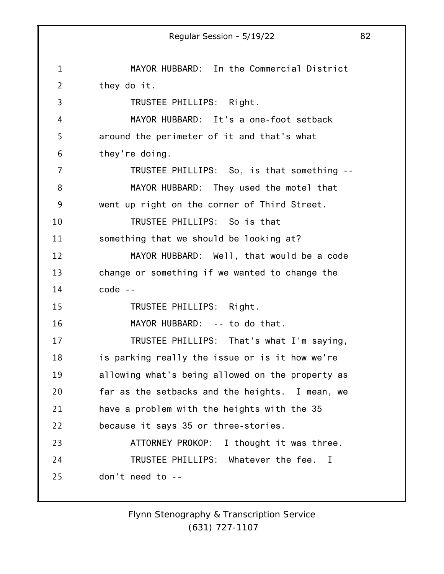1 2 3 4 5 6 7 8 9 10 11 12 13 14 15 16 17 18 19 20 21 22 23 24 25 Regular Session - 5/19/22 82 MAYOR HUBBARD: In the Commercial District they do it. TRUSTEE PHILLIPS: Right. MAYOR HUBBARD: It's a one-foot setback around the perimeter of it and that's what they're doing. TRUSTEE PHILLIPS: So, is that something -- MAYOR HUBBARD: They used the motel that went up right on the corner of Third Street. TRUSTEE PHILLIPS: So is that something that we should be looking at? MAYOR HUBBARD: Well, that would be a code change or something if we wanted to change the code -- TRUSTEE PHILLIPS: Right. MAYOR HUBBARD: -- to do that. TRUSTEE PHILLIPS: That's what I'm saying, is parking really the issue or is it how we're allowing what's being allowed on the property as far as the setbacks and the heights. I mean, we have a problem with the heights with the 35 because it says 35 or three-stories. ATTORNEY PROKOP: I thought it was three. TRUSTEE PHILLIPS: Whatever the fee. I don't need to --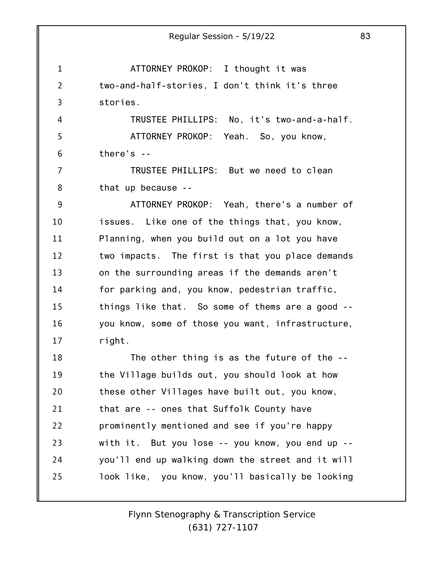1 2 3 4 5 6 7 8 9 10 11 12 13 14 15 16 17 18 19 20 21 22 23 24 25 ATTORNEY PROKOP: I thought it was two-and-half-stories, I don't think it's three stories. TRUSTEE PHILLIPS: No, it's two-and-a-half. ATTORNEY PROKOP: Yeah. So, you know, there's -- TRUSTEE PHILLIPS: But we need to clean that up because -- ATTORNEY PROKOP: Yeah, there's a number of issues. Like one of the things that, you know, Planning, when you build out on a lot you have two impacts. The first is that you place demands on the surrounding areas if the demands aren't for parking and, you know, pedestrian traffic, things like that. So some of thems are a good - you know, some of those you want, infrastructure, right. The other thing is as the future of the - the Village builds out, you should look at how these other Villages have built out, you know, that are -- ones that Suffolk County have prominently mentioned and see if you're happy with it. But you lose -- you know, you end up - you'll end up walking down the street and it will look like, you know, you'll basically be looking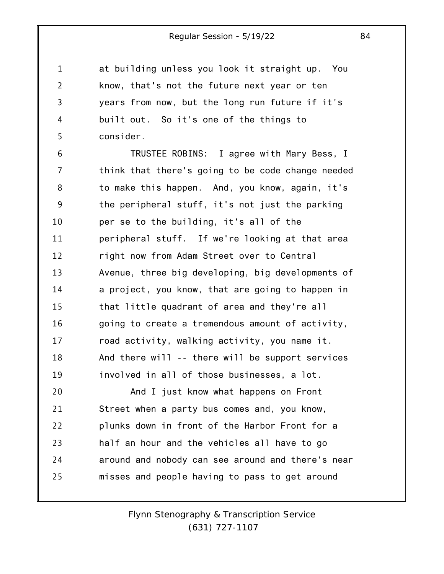1 2 3 4 5 at building unless you look it straight up. You know, that's not the future next year or ten years from now, but the long run future if it's built out. So it's one of the things to consider.

6 7 8 9 10 11 12 13 14 15 16 17 18 19 TRUSTEE ROBINS: I agree with Mary Bess, I think that there's going to be code change needed to make this happen. And, you know, again, it's the peripheral stuff, it's not just the parking per se to the building, it's all of the peripheral stuff. If we're looking at that area right now from Adam Street over to Central Avenue, three big developing, big developments of a project, you know, that are going to happen in that little quadrant of area and they're all going to create a tremendous amount of activity, road activity, walking activity, you name it. And there will -- there will be support services involved in all of those businesses, a lot.

20 21 22 23 24 25 And I just know what happens on Front Street when a party bus comes and, you know, plunks down in front of the Harbor Front for a half an hour and the vehicles all have to go around and nobody can see around and there's near misses and people having to pass to get around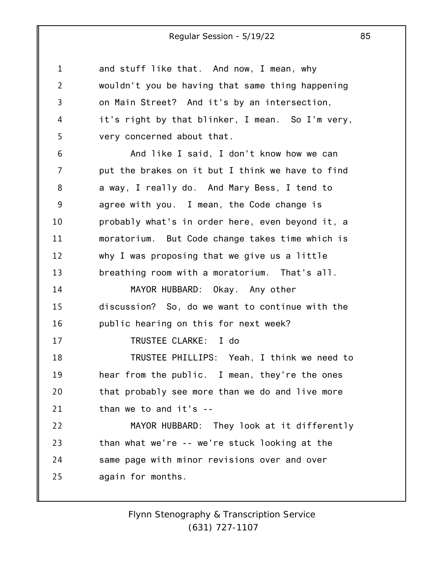and stuff like that. And now, I mean, why wouldn't you be having that same thing happening on Main Street? And it's by an intersection, it's right by that blinker, I mean. So I'm very,

5 very concerned about that.

1

2

3

4

6 7 8 9 10 11 12 13 14 15 16 17 18 19 20 21 22 23 24 And like I said, I don't know how we can put the brakes on it but I think we have to find a way, I really do. And Mary Bess, I tend to agree with you. I mean, the Code change is probably what's in order here, even beyond it, a moratorium. But Code change takes time which is why I was proposing that we give us a little breathing room with a moratorium. That's all. MAYOR HUBBARD: Okay. Any other discussion? So, do we want to continue with the public hearing on this for next week? TRUSTEE CLARKE: I do TRUSTEE PHILLIPS: Yeah, I think we need to hear from the public. I mean, they're the ones that probably see more than we do and live more than we to and it's -- MAYOR HUBBARD: They look at it differently than what we're -- we're stuck looking at the same page with minor revisions over and over

25 again for months.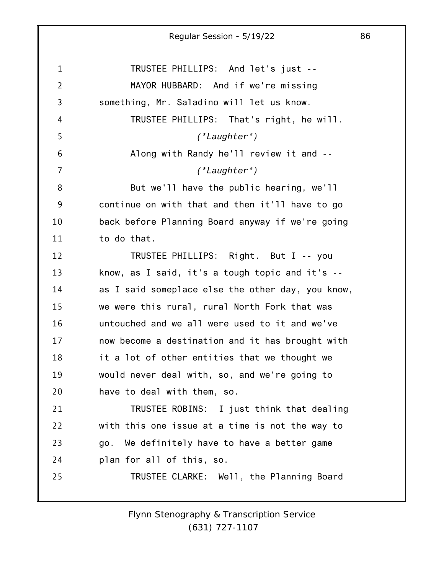1 2 3 4 5 6 7 8 9 10 11 12 13 14 15 16 17 18 19 20 21 22 23 24 25 TRUSTEE PHILLIPS: And let's just -- MAYOR HUBBARD: And if we're missing something, Mr. Saladino will let us know. TRUSTEE PHILLIPS: That's right, he will. *(\*Laughter\*)* Along with Randy he'll review it and -- *(\*Laughter\*)* But we'll have the public hearing, we'll continue on with that and then it'll have to go back before Planning Board anyway if we're going to do that. TRUSTEE PHILLIPS: Right. But I -- you know, as I said, it's a tough topic and it's - as I said someplace else the other day, you know, we were this rural, rural North Fork that was untouched and we all were used to it and we've now become a destination and it has brought with it a lot of other entities that we thought we would never deal with, so, and we're going to have to deal with them, so. TRUSTEE ROBINS: I just think that dealing with this one issue at a time is not the way to go. We definitely have to have a better game plan for all of this, so. TRUSTEE CLARKE: Well, the Planning Board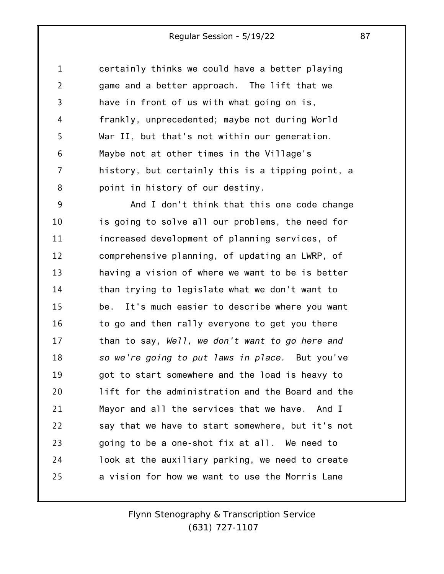1 2 3 4 5 6 7 8 certainly thinks we could have a better playing game and a better approach. The lift that we have in front of us with what going on is, frankly, unprecedented; maybe not during World War II, but that's not within our generation. Maybe not at other times in the Village's history, but certainly this is a tipping point, a point in history of our destiny.

9 10 11 12 13 14 15 16 17 18 19 20 21 22 23 24 25 And I don't think that this one code change is going to solve all our problems, the need for increased development of planning services, of comprehensive planning, of updating an LWRP, of having a vision of where we want to be is better than trying to legislate what we don't want to be. It's much easier to describe where you want to go and then rally everyone to get you there than to say, *Well, we don't want to go here and so we're going to put laws in place.* But you've got to start somewhere and the load is heavy to lift for the administration and the Board and the Mayor and all the services that we have. And I say that we have to start somewhere, but it's not going to be a one-shot fix at all. We need to look at the auxiliary parking, we need to create a vision for how we want to use the Morris Lane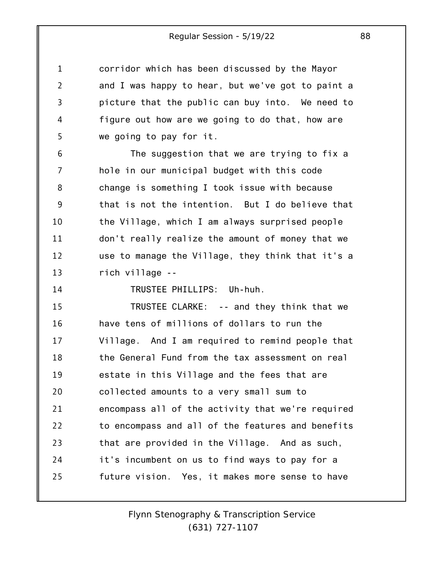corridor which has been discussed by the Mayor and I was happy to hear, but we've got to paint a picture that the public can buy into. We need to figure out how are we going to do that, how are we going to pay for it.

6 7 8 9 10 11 12 13 The suggestion that we are trying to fix a hole in our municipal budget with this code change is something I took issue with because that is not the intention. But I do believe that the Village, which I am always surprised people don't really realize the amount of money that we use to manage the Village, they think that it's a rich village --

14

1

2

3

4

5

TRUSTEE PHILLIPS: Uh-huh.

15 16 17 18 19 20 21 22 23 24 25 TRUSTEE CLARKE: -- and they think that we have tens of millions of dollars to run the Village. And I am required to remind people that the General Fund from the tax assessment on real estate in this Village and the fees that are collected amounts to a very small sum to encompass all of the activity that we're required to encompass and all of the features and benefits that are provided in the Village. And as such, it's incumbent on us to find ways to pay for a future vision. Yes, it makes more sense to have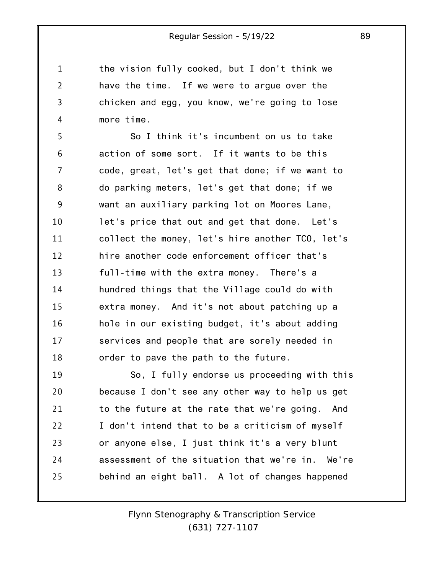the vision fully cooked, but I don't think we have the time. If we were to argue over the chicken and egg, you know, we're going to lose more time.

1

2

3

4

5 6 7 8 9 10 11 12 13 14 15 16 17 18 So I think it's incumbent on us to take action of some sort. If it wants to be this code, great, let's get that done; if we want to do parking meters, let's get that done; if we want an auxiliary parking lot on Moores Lane, let's price that out and get that done. Let's collect the money, let's hire another TCO, let's hire another code enforcement officer that's full-time with the extra money. There's a hundred things that the Village could do with extra money. And it's not about patching up a hole in our existing budget, it's about adding services and people that are sorely needed in order to pave the path to the future.

19 20 21 22 23 24 25 So, I fully endorse us proceeding with this because I don't see any other way to help us get to the future at the rate that we're going. And I don't intend that to be a criticism of myself or anyone else, I just think it's a very blunt assessment of the situation that we're in. We're behind an eight ball. A lot of changes happened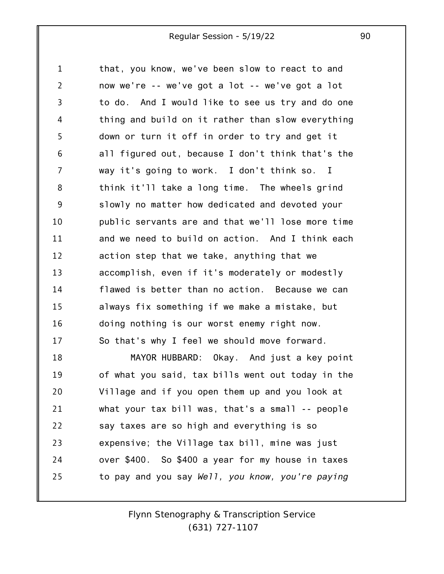1 2 3 4 5 6 7 8 9 10 11 12 13 14 15 16 17 18 19 20 21 22 23 that, you know, we've been slow to react to and now we're -- we've got a lot -- we've got a lot to do. And I would like to see us try and do one thing and build on it rather than slow everything down or turn it off in order to try and get it all figured out, because I don't think that's the way it's going to work. I don't think so. I think it'll take a long time. The wheels grind slowly no matter how dedicated and devoted your public servants are and that we'll lose more time and we need to build on action. And I think each action step that we take, anything that we accomplish, even if it's moderately or modestly flawed is better than no action. Because we can always fix something if we make a mistake, but doing nothing is our worst enemy right now. So that's why I feel we should move forward. MAYOR HUBBARD: Okay. And just a key point of what you said, tax bills went out today in the Village and if you open them up and you look at what your tax bill was, that's a small -- people say taxes are so high and everything is so expensive; the Village tax bill, mine was just

to pay and you say *Well, you know, you're paying*

24

25

*Flynn Stenography & Transcription Service (631) 727-1107*

over \$400. So \$400 a year for my house in taxes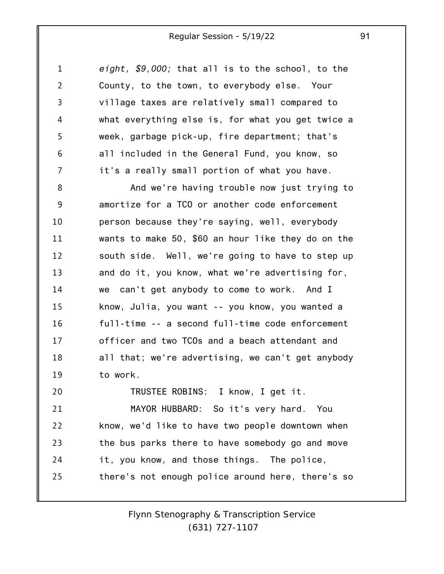1 2 3 4 5 6 7 *eight, \$9,000;* that all is to the school, to the County, to the town, to everybody else. Your village taxes are relatively small compared to what everything else is, for what you get twice a week, garbage pick-up, fire department; that's all included in the General Fund, you know, so it's a really small portion of what you have.

8 9 10 11 12 13 14 15 16 17 18 19 20 And we're having trouble now just trying to amortize for a TCO or another code enforcement person because they're saying, well, everybody wants to make 50, \$60 an hour like they do on the south side. Well, we're going to have to step up and do it, you know, what we're advertising for, we can't get anybody to come to work. And I know, Julia, you want -- you know, you wanted a full-time -- a second full-time code enforcement officer and two TCOs and a beach attendant and all that; we're advertising, we can't get anybody to work. TRUSTEE ROBINS: I know, I get it.

21 22 23 24 25 MAYOR HUBBARD: So it's very hard. You know, we'd like to have two people downtown when the bus parks there to have somebody go and move it, you know, and those things. The police, there's not enough police around here, there's so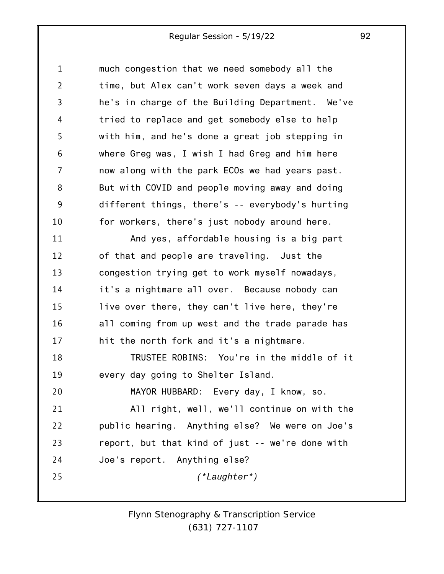1 2 3 4 5 6 7 8 9 10 11 12 13 14 15 16 17 18 19 20 21 22 23 24 25 much congestion that we need somebody all the time, but Alex can't work seven days a week and he's in charge of the Building Department. We've tried to replace and get somebody else to help with him, and he's done a great job stepping in where Greg was, I wish I had Greg and him here now along with the park ECOs we had years past. But with COVID and people moving away and doing different things, there's -- everybody's hurting for workers, there's just nobody around here. And yes, affordable housing is a big part of that and people are traveling. Just the congestion trying get to work myself nowadays, it's a nightmare all over. Because nobody can live over there, they can't live here, they're all coming from up west and the trade parade has hit the north fork and it's a nightmare. TRUSTEE ROBINS: You're in the middle of it every day going to Shelter Island. MAYOR HUBBARD: Every day, I know, so. All right, well, we'll continue on with the public hearing. Anything else? We were on Joe's report, but that kind of just -- we're done with Joe's report. Anything else? *(\*Laughter\*)*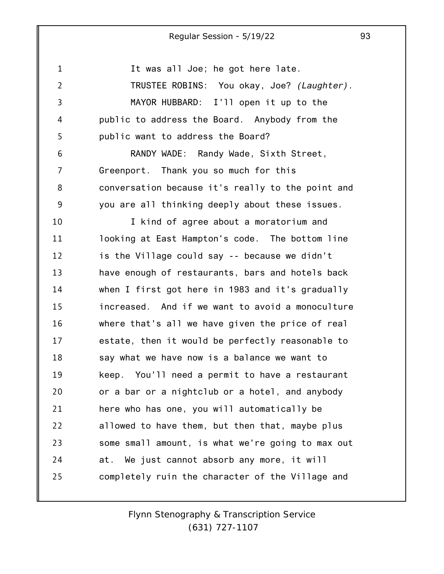1 2 3 4 5 6 7 8 9 10 11 12 13 14 15 16 17 18 19 20 21 22 23 24 25 It was all Joe; he got here late. TRUSTEE ROBINS: You okay, Joe? *(Laughter).* MAYOR HUBBARD: I'll open it up to the public to address the Board. Anybody from the public want to address the Board? RANDY WADE: Randy Wade, Sixth Street, Greenport. Thank you so much for this conversation because it's really to the point and you are all thinking deeply about these issues. I kind of agree about a moratorium and looking at East Hampton's code. The bottom line is the Village could say -- because we didn't have enough of restaurants, bars and hotels back when I first got here in 1983 and it's gradually increased. And if we want to avoid a monoculture where that's all we have given the price of real estate, then it would be perfectly reasonable to say what we have now is a balance we want to keep. You'll need a permit to have a restaurant or a bar or a nightclub or a hotel, and anybody here who has one, you will automatically be allowed to have them, but then that, maybe plus some small amount, is what we're going to max out at. We just cannot absorb any more, it will completely ruin the character of the Village and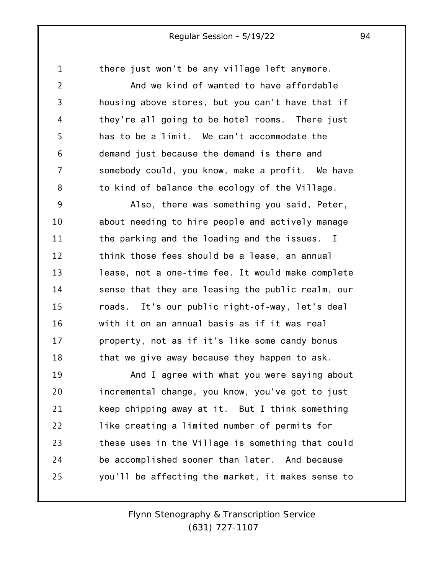there just won't be any village left anymore.

1

2 3 4 5 6 7 8 And we kind of wanted to have affordable housing above stores, but you can't have that if they're all going to be hotel rooms. There just has to be a limit. We can't accommodate the demand just because the demand is there and somebody could, you know, make a profit. We have to kind of balance the ecology of the Village.

9 10 11 12 13 14 15 16 17 18 Also, there was something you said, Peter, about needing to hire people and actively manage the parking and the loading and the issues. I think those fees should be a lease, an annual lease, not a one-time fee. It would make complete sense that they are leasing the public realm, our roads. It's our public right-of-way, let's deal with it on an annual basis as if it was real property, not as if it's like some candy bonus that we give away because they happen to ask.

19 20 21 22 23 24 25 And I agree with what you were saying about incremental change, you know, you've got to just keep chipping away at it. But I think something like creating a limited number of permits for these uses in the Village is something that could be accomplished sooner than later. And because you'll be affecting the market, it makes sense to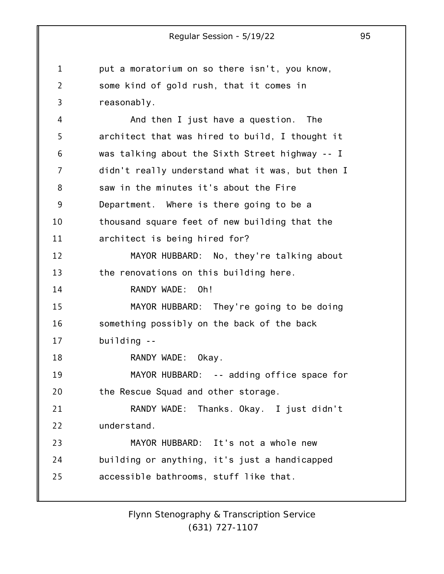1 2 3 4 5 6 7 8 9 10 11 12 13 14 15 16 17 18 19 20 21 22 23 24 25 Regular Session - 5/19/22 95 put a moratorium on so there isn't, you know, some kind of gold rush, that it comes in reasonably. And then I just have a question. The architect that was hired to build, I thought it was talking about the Sixth Street highway -- I didn't really understand what it was, but then I saw in the minutes it's about the Fire Department. Where is there going to be a thousand square feet of new building that the architect is being hired for? MAYOR HUBBARD: No, they're talking about the renovations on this building here. RANDY WADE: Oh! MAYOR HUBBARD: They're going to be doing something possibly on the back of the back building -- RANDY WADE: Okay. MAYOR HUBBARD: -- adding office space for the Rescue Squad and other storage. RANDY WADE: Thanks. Okay. I just didn't understand. MAYOR HUBBARD: It's not a whole new building or anything, it's just a handicapped accessible bathrooms, stuff like that.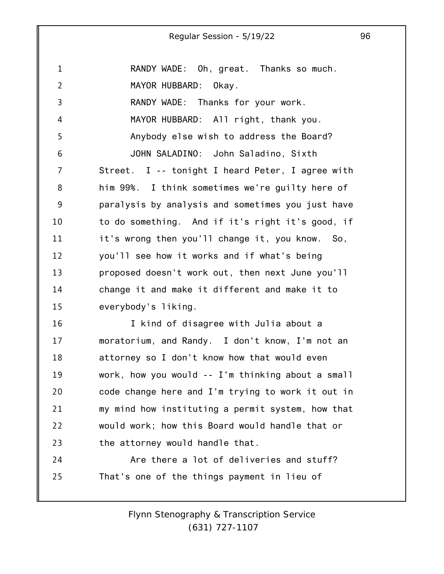1 2 3 4 5 6 7 8 9 10 11 12 13 14 15 16 17 18 19 20 21 22 23 24 RANDY WADE: Oh, great. Thanks so much. MAYOR HUBBARD: Okay. RANDY WADE: Thanks for your work. MAYOR HUBBARD: All right, thank you. Anybody else wish to address the Board? JOHN SALADINO: John Saladino, Sixth Street. I -- tonight I heard Peter, I agree with him 99%. I think sometimes we're guilty here of paralysis by analysis and sometimes you just have to do something. And if it's right it's good, if it's wrong then you'll change it, you know. So, you'll see how it works and if what's being proposed doesn't work out, then next June you'll change it and make it different and make it to everybody's liking. I kind of disagree with Julia about a moratorium, and Randy. I don't know, I'm not an attorney so I don't know how that would even work, how you would -- I'm thinking about a small code change here and I'm trying to work it out in my mind how instituting a permit system, how that would work; how this Board would handle that or the attorney would handle that. Are there a lot of deliveries and stuff?

25 That's one of the things payment in lieu of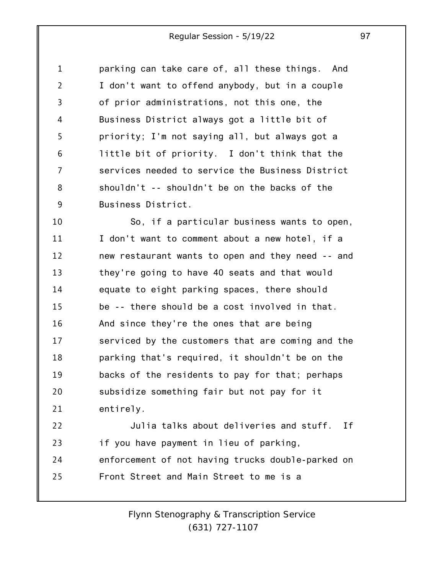1 2 3 4 5 6 7 8 9 parking can take care of, all these things. And I don't want to offend anybody, but in a couple of prior administrations, not this one, the Business District always got a little bit of priority; I'm not saying all, but always got a little bit of priority. I don't think that the services needed to service the Business District shouldn't -- shouldn't be on the backs of the Business District.

10 11 12 13 14 15 16 17 18 19 20 21 So, if a particular business wants to open, I don't want to comment about a new hotel, if a new restaurant wants to open and they need -- and they're going to have 40 seats and that would equate to eight parking spaces, there should be -- there should be a cost involved in that. And since they're the ones that are being serviced by the customers that are coming and the parking that's required, it shouldn't be on the backs of the residents to pay for that; perhaps subsidize something fair but not pay for it entirely.

22 23 24 25 Julia talks about deliveries and stuff. If if you have payment in lieu of parking, enforcement of not having trucks double-parked on Front Street and Main Street to me is a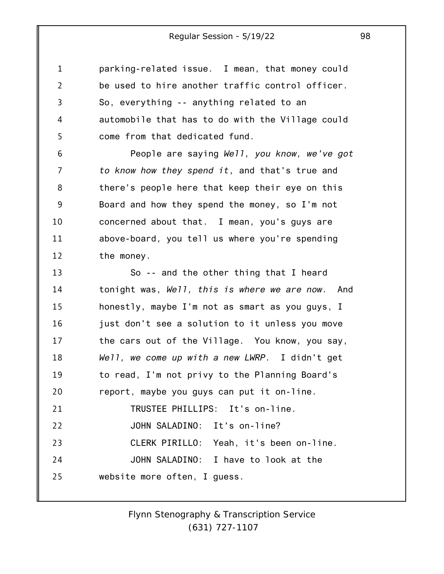1 2 3 4 5 parking-related issue. I mean, that money could be used to hire another traffic control officer. So, everything -- anything related to an automobile that has to do with the Village could come from that dedicated fund.

6 7 8 9 10 11 12 People are saying *Well, you know, we've got to know how they spend it*, and that's true and there's people here that keep their eye on this Board and how they spend the money, so I'm not concerned about that. I mean, you's guys are above-board, you tell us where you're spending the money.

13 14 15 16 17 18 19 20 21 22 23 24 25 So -- and the other thing that I heard tonight was, *Well, this is where we are now.* And honestly, maybe I'm not as smart as you guys, I just don't see a solution to it unless you move the cars out of the Village. You know, you say, *Well, we come up with a new LWRP*. I didn't get to read, I'm not privy to the Planning Board's report, maybe you guys can put it on-line. TRUSTEE PHILLIPS: It's on-line. JOHN SALADINO: It's on-line? CLERK PIRILLO: Yeah, it's been on-line. JOHN SALADINO: I have to look at the website more often, I guess.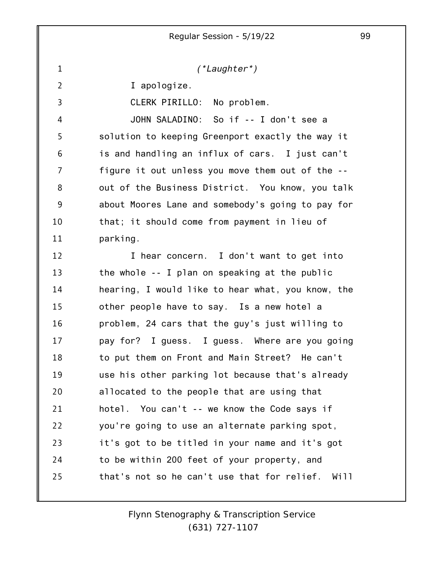*(\*Laughter\*)*

I apologize.

1

2 3 4 5 6 7 8 9 10 11 CLERK PIRILLO: No problem. JOHN SALADINO: So if -- I don't see a solution to keeping Greenport exactly the way it is and handling an influx of cars. I just can't figure it out unless you move them out of the -out of the Business District. You know, you talk about Moores Lane and somebody's going to pay for that; it should come from payment in lieu of parking.

12 13 14 15 16 17 18 19 20 21 22 23 24 25 I hear concern. I don't want to get into the whole -- I plan on speaking at the public hearing, I would like to hear what, you know, the other people have to say. Is a new hotel a problem, 24 cars that the guy's just willing to pay for? I guess. I guess. Where are you going to put them on Front and Main Street? He can't use his other parking lot because that's already allocated to the people that are using that hotel. You can't -- we know the Code says if you're going to use an alternate parking spot, it's got to be titled in your name and it's got to be within 200 feet of your property, and that's not so he can't use that for relief. Will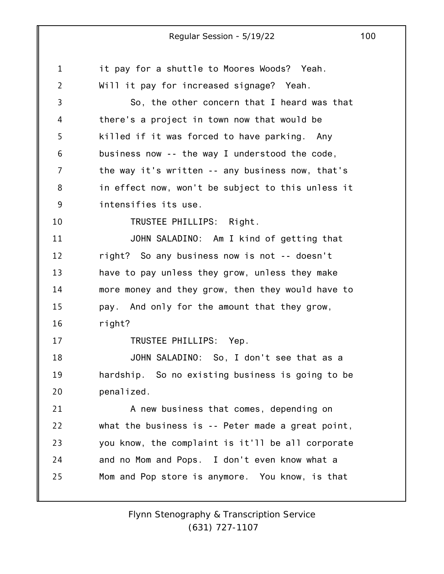1 2 3 4 5 6 7 8 9 10 11 12 13 14 15 16 17 18 19 20 21 22 23 24 25 it pay for a shuttle to Moores Woods? Yeah. Will it pay for increased signage? Yeah. So, the other concern that I heard was that there's a project in town now that would be killed if it was forced to have parking. Any business now -- the way I understood the code, the way it's written -- any business now, that's in effect now, won't be subject to this unless it intensifies its use. TRUSTEE PHILLIPS: Right. JOHN SALADINO: Am I kind of getting that right? So any business now is not -- doesn't have to pay unless they grow, unless they make more money and they grow, then they would have to pay. And only for the amount that they grow, right? TRUSTEE PHILLIPS: Yep. JOHN SALADINO: So, I don't see that as a hardship. So no existing business is going to be penalized. A new business that comes, depending on what the business is -- Peter made a great point, you know, the complaint is it'll be all corporate and no Mom and Pops. I don't even know what a Mom and Pop store is anymore. You know, is that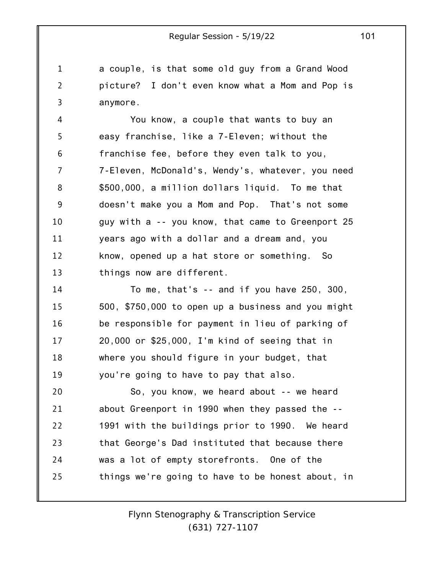1 2 3 a couple, is that some old guy from a Grand Wood picture? I don't even know what a Mom and Pop is anymore.

4 5 6 7 8 9 10 11 12 13 You know, a couple that wants to buy an easy franchise, like a 7-Eleven; without the franchise fee, before they even talk to you, 7-Eleven, McDonald's, Wendy's, whatever, you need \$500,000, a million dollars liquid. To me that doesn't make you a Mom and Pop. That's not some guy with a -- you know, that came to Greenport 25 years ago with a dollar and a dream and, you know, opened up a hat store or something. So things now are different.

14 15 16 17 18 19 To me, that's -- and if you have 250, 300, 500, \$750,000 to open up a business and you might be responsible for payment in lieu of parking of 20,000 or \$25,000, I'm kind of seeing that in where you should figure in your budget, that you're going to have to pay that also.

20 21 22 23 24 25 So, you know, we heard about -- we heard about Greenport in 1990 when they passed the -- 1991 with the buildings prior to 1990. We heard that George's Dad instituted that because there was a lot of empty storefronts. One of the things we're going to have to be honest about, in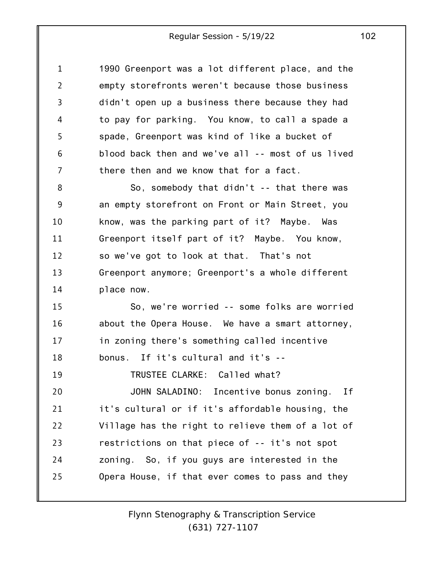| $\mathbf{1}$   | 1990 Greenport was a lot different place, and the |
|----------------|---------------------------------------------------|
| $\overline{2}$ | empty storefronts weren't because those business  |
| 3              | didn't open up a business there because they had  |
| 4              | to pay for parking. You know, to call a spade a   |
| 5              | spade, Greenport was kind of like a bucket of     |
| 6              | blood back then and we've all -- most of us lived |
| 7              | there then and we know that for a fact.           |
| 8              | So, somebody that didn't -- that there was        |
| 9              | an empty storefront on Front or Main Street, you  |
| 10             | know, was the parking part of it? Maybe. Was      |
| 11             | Greenport itself part of it? Maybe. You know,     |
| 12             | so we've got to look at that. That's not          |
| 13             | Greenport anymore; Greenport's a whole different  |
| 14             | place now.                                        |
| 15             | So, we're worried -- some folks are worried       |
| 16             | about the Opera House. We have a smart attorney,  |
| 17             | in zoning there's something called incentive      |
| 18             | bonus. If it's cultural and it's --               |
| 19             | TRUSTEE CLARKE: Called what?                      |
| 20             | JOHN SALADINO: Incentive bonus zoning.<br>If      |
| 21             | it's cultural or if it's affordable housing, the  |
| 22             | Village has the right to relieve them of a lot of |
| 23             | restrictions on that piece of -- it's not spot    |
| 24             | zoning. So, if you guys are interested in the     |
| 25             | Opera House, if that ever comes to pass and they  |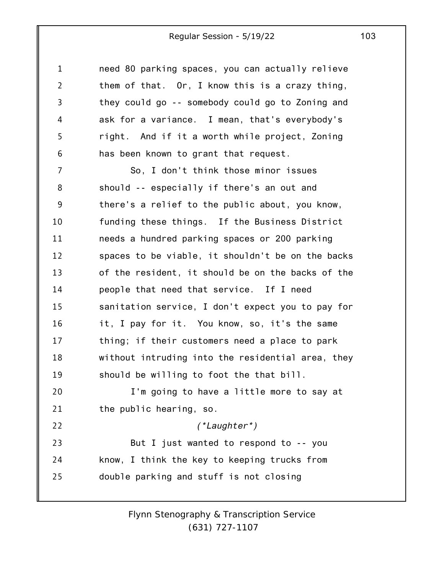1 2 3 4 5 6 7 8 9 10 11 12 13 14 15 16 17 18 19 20 21 22 23 24 25 need 80 parking spaces, you can actually relieve them of that. Or, I know this is a crazy thing, they could go -- somebody could go to Zoning and ask for a variance. I mean, that's everybody's right. And if it a worth while project, Zoning has been known to grant that request. So, I don't think those minor issues should -- especially if there's an out and there's a relief to the public about, you know, funding these things. If the Business District needs a hundred parking spaces or 200 parking spaces to be viable, it shouldn't be on the backs of the resident, it should be on the backs of the people that need that service. If I need sanitation service, I don't expect you to pay for it, I pay for it. You know, so, it's the same thing; if their customers need a place to park without intruding into the residential area, they should be willing to foot the that bill. I'm going to have a little more to say at the public hearing, so. *(\*Laughter\*)* But I just wanted to respond to -- you know, I think the key to keeping trucks from double parking and stuff is not closing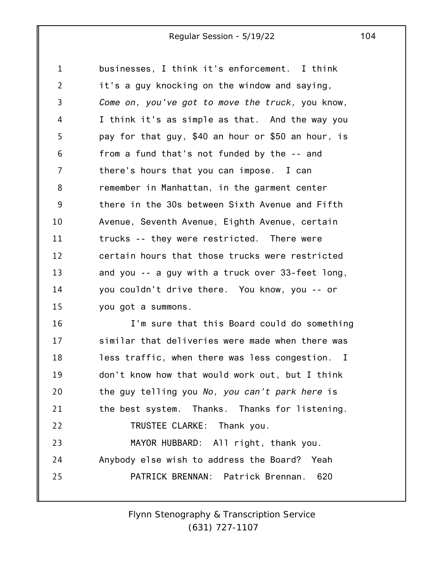1 2 3 4 5 6 7 8 9 10 11 12 13 14 15 businesses, I think it's enforcement. I think it's a guy knocking on the window and saying, *Come on, you've got to move the truck,* you know, I think it's as simple as that. And the way you pay for that guy, \$40 an hour or \$50 an hour, is from a fund that's not funded by the -- and there's hours that you can impose. I can remember in Manhattan, in the garment center there in the 30s between Sixth Avenue and Fifth Avenue, Seventh Avenue, Eighth Avenue, certain trucks -- they were restricted. There were certain hours that those trucks were restricted and you -- a guy with a truck over 33-feet long, you couldn't drive there. You know, you -- or you got a summons.

16 17 18 19 20 21 22 23 24 25 I'm sure that this Board could do something similar that deliveries were made when there was less traffic, when there was less congestion. I don't know how that would work out, but I think the guy telling you *No, you can't park here* is the best system. Thanks. Thanks for listening. TRUSTEE CLARKE: Thank you. MAYOR HUBBARD: All right, thank you. Anybody else wish to address the Board? Yeah PATRICK BRENNAN: Patrick Brennan. 620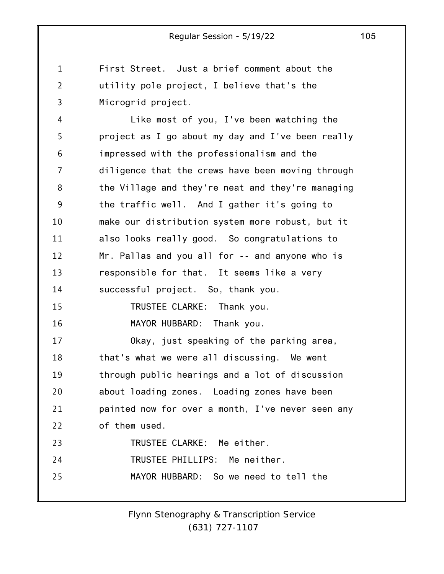1 2 3 First Street. Just a brief comment about the utility pole project, I believe that's the Microgrid project.

4 5 6 7 8 9 10 11 12 13 14 15 16 17 18 19 20 21 22 23 24 25 Like most of you, I've been watching the project as I go about my day and I've been really impressed with the professionalism and the diligence that the crews have been moving through the Village and they're neat and they're managing the traffic well. And I gather it's going to make our distribution system more robust, but it also looks really good. So congratulations to Mr. Pallas and you all for -- and anyone who is responsible for that. It seems like a very successful project. So, thank you. TRUSTEE CLARKE: Thank you. MAYOR HUBBARD: Thank you. Okay, just speaking of the parking area, that's what we were all discussing. We went through public hearings and a lot of discussion about loading zones. Loading zones have been painted now for over a month, I've never seen any of them used. TRUSTEE CLARKE: Me either. TRUSTEE PHILLIPS: Me neither. MAYOR HUBBARD: So we need to tell the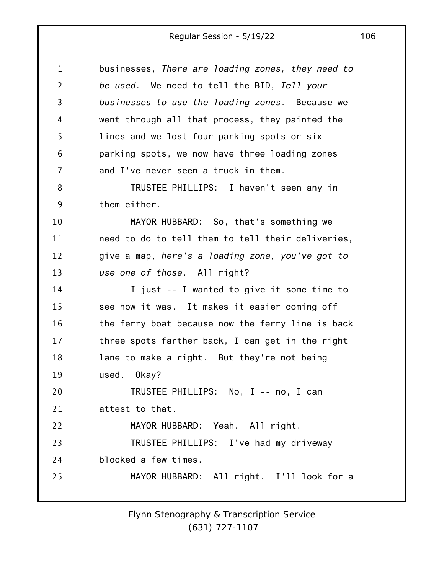| $\mathbf{1}$   | businesses, There are loading zones, they need to |
|----------------|---------------------------------------------------|
| $\overline{2}$ | be used. We need to tell the BID, Tell your       |
| 3              | businesses to use the loading zones. Because we   |
| 4              | went through all that process, they painted the   |
| 5              | lines and we lost four parking spots or six       |
| 6              | parking spots, we now have three loading zones    |
| 7              | and I've never seen a truck in them.              |
| 8              | TRUSTEE PHILLIPS: I haven't seen any in           |
| 9              | them either.                                      |
| 10             | MAYOR HUBBARD: So, that's something we            |
| 11             | need to do to tell them to tell their deliveries, |
| 12             | give a map, here's a loading zone, you've got to  |
| 13             | use one of those. All right?                      |
| 14             | I just -- I wanted to give it some time to        |
| 15             | see how it was. It makes it easier coming off     |
| 16             | the ferry boat because now the ferry line is back |
| 17             | three spots farther back, I can get in the right  |
| 18             | lane to make a right. But they're not being       |
| 19             | used. Okay?                                       |
| 20             | TRUSTEE PHILLIPS: No, I -- no, I can              |
| 21             | attest to that.                                   |
| 22             | MAYOR HUBBARD: Yeah. All right.                   |
| 23             | TRUSTEE PHILLIPS: I've had my driveway            |
| 24             | blocked a few times.                              |
| 25             | MAYOR HUBBARD: All right. I'll look for a         |
|                |                                                   |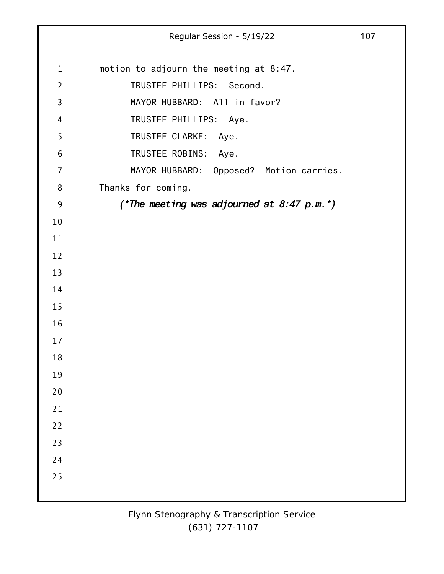Regular Session - 5/19/22 107 motion to adjourn the meeting at 8:47. TRUSTEE PHILLIPS: Second. MAYOR HUBBARD: All in favor? TRUSTEE PHILLIPS: Aye. TRUSTEE CLARKE: Aye. TRUSTEE ROBINS: Aye. MAYOR HUBBARD: Opposed? Motion carries. Thanks for coming. *(\*The meeting was adjourned at 8:47 p.m.\*)*